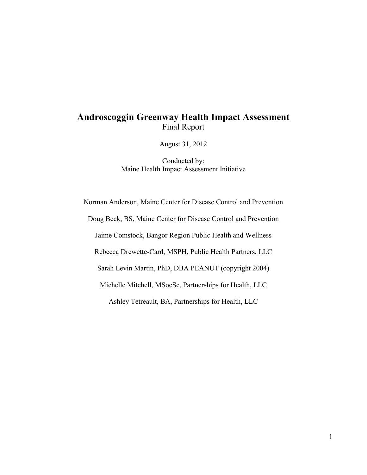# **Androscoggin Greenway Health Impact Assessment**  Final Report

August 31, 2012

Conducted by: Maine Health Impact Assessment Initiative

Norman Anderson, Maine Center for Disease Control and Prevention Doug Beck, BS, Maine Center for Disease Control and Prevention Jaime Comstock, Bangor Region Public Health and Wellness Rebecca Drewette-Card, MSPH, Public Health Partners, LLC Sarah Levin Martin, PhD, DBA PEANUT (copyright 2004) Michelle Mitchell, MSocSc, Partnerships for Health, LLC Ashley Tetreault, BA, Partnerships for Health, LLC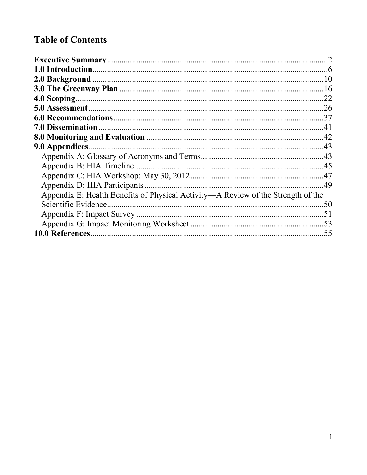# **Table of Contents**

|                                                                                  | .22 |
|----------------------------------------------------------------------------------|-----|
|                                                                                  |     |
|                                                                                  |     |
|                                                                                  |     |
|                                                                                  |     |
|                                                                                  |     |
|                                                                                  |     |
| Appendix B: HIA Timeline.                                                        |     |
|                                                                                  |     |
| Appendix D: HIA Participants                                                     |     |
| Appendix E: Health Benefits of Physical Activity—A Review of the Strength of the |     |
|                                                                                  |     |
|                                                                                  |     |
|                                                                                  |     |
|                                                                                  |     |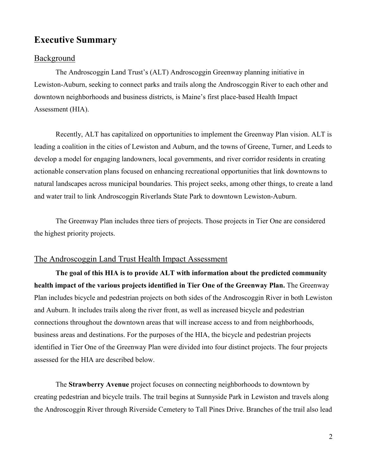# **Executive Summary**

#### **Background**

The Androscoggin Land Trust's (ALT) Androscoggin Greenway planning initiative in Lewiston-Auburn, seeking to connect parks and trails along the Androscoggin River to each other and downtown neighborhoods and business districts, is Maine's first place-based Health Impact Assessment (HIA).

Recently, ALT has capitalized on opportunities to implement the Greenway Plan vision. ALT is leading a coalition in the cities of Lewiston and Auburn, and the towns of Greene, Turner, and Leeds to develop a model for engaging landowners, local governments, and river corridor residents in creating actionable conservation plans focused on enhancing recreational opportunities that link downtowns to natural landscapes across municipal boundaries. This project seeks, among other things, to create a land and water trail to link Androscoggin Riverlands State Park to downtown Lewiston-Auburn.

The Greenway Plan includes three tiers of projects. Those projects in Tier One are considered the highest priority projects.

## The Androscoggin Land Trust Health Impact Assessment

**The goal of this HIA is to provide ALT with information about the predicted community health impact of the various projects identified in Tier One of the Greenway Plan.** The Greenway Plan includes bicycle and pedestrian projects on both sides of the Androscoggin River in both Lewiston and Auburn. It includes trails along the river front, as well as increased bicycle and pedestrian connections throughout the downtown areas that will increase access to and from neighborhoods, business areas and destinations. For the purposes of the HIA, the bicycle and pedestrian projects identified in Tier One of the Greenway Plan were divided into four distinct projects. The four projects assessed for the HIA are described below.

The **Strawberry Avenue** project focuses on connecting neighborhoods to downtown by creating pedestrian and bicycle trails. The trail begins at Sunnyside Park in Lewiston and travels along the Androscoggin River through Riverside Cemetery to Tall Pines Drive. Branches of the trail also lead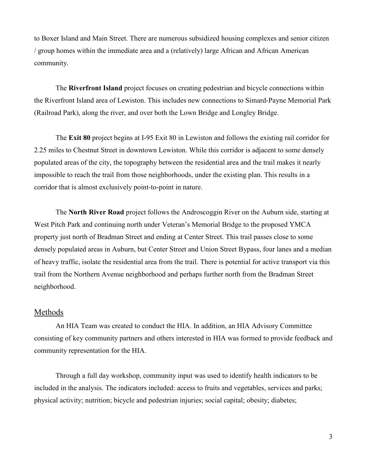to Boxer Island and Main Street. There are numerous subsidized housing complexes and senior citizen / group homes within the immediate area and a (relatively) large African and African American community.

The **Riverfront Island** project focuses on creating pedestrian and bicycle connections within the Riverfront Island area of Lewiston. This includes new connections to Simard-Payne Memorial Park (Railroad Park), along the river, and over both the Lown Bridge and Longley Bridge.

The **Exit 80** project begins at I-95 Exit 80 in Lewiston and follows the existing rail corridor for 2.25 miles to Chestnut Street in downtown Lewiston. While this corridor is adjacent to some densely populated areas of the city, the topography between the residential area and the trail makes it nearly impossible to reach the trail from those neighborhoods, under the existing plan. This results in a corridor that is almost exclusively point-to-point in nature.

The **North River Road** project follows the Androscoggin River on the Auburn side, starting at West Pitch Park and continuing north under Veteran's Memorial Bridge to the proposed YMCA property just north of Bradman Street and ending at Center Street. This trail passes close to some densely populated areas in Auburn, but Center Street and Union Street Bypass, four lanes and a median of heavy traffic, isolate the residential area from the trail. There is potential for active transport via this trail from the Northern Avenue neighborhood and perhaps further north from the Bradman Street neighborhood.

#### Methods

An HIA Team was created to conduct the HIA. In addition, an HIA Advisory Committee consisting of key community partners and others interested in HIA was formed to provide feedback and community representation for the HIA.

Through a full day workshop, community input was used to identify health indicators to be included in the analysis. The indicators included: access to fruits and vegetables, services and parks; physical activity; nutrition; bicycle and pedestrian injuries; social capital; obesity; diabetes;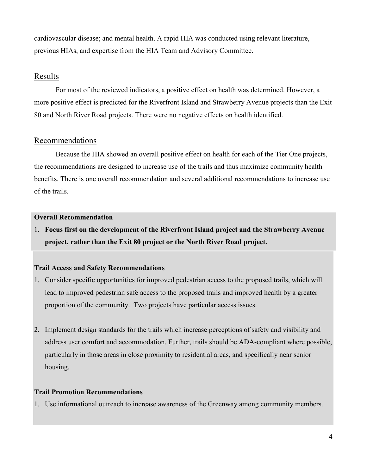cardiovascular disease; and mental health. A rapid HIA was conducted using relevant literature, previous HIAs, and expertise from the HIA Team and Advisory Committee.

## **Results**

For most of the reviewed indicators, a positive effect on health was determined. However, a more positive effect is predicted for the Riverfront Island and Strawberry Avenue projects than the Exit 80 and North River Road projects. There were no negative effects on health identified.

#### Recommendations

 Because the HIA showed an overall positive effect on health for each of the Tier One projects, the recommendations are designed to increase use of the trails and thus maximize community health benefits. There is one overall recommendation and several additional recommendations to increase use of the trails.

#### **Overall Recommendation**

1. **Focus first on the development of the Riverfront Island project and the Strawberry Avenue project, rather than the Exit 80 project or the North River Road project.**

#### **Trail Access and Safety Recommendations**

- 1. Consider specific opportunities for improved pedestrian access to the proposed trails, which will lead to improved pedestrian safe access to the proposed trails and improved health by a greater proportion of the community. Two projects have particular access issues.
- 2. Implement design standards for the trails which increase perceptions of safety and visibility and address user comfort and accommodation. Further, trails should be ADA-compliant where possible, particularly in those areas in close proximity to residential areas, and specifically near senior housing.

#### **Trail Promotion Recommendations**

1. Use informational outreach to increase awareness of the Greenway among community members.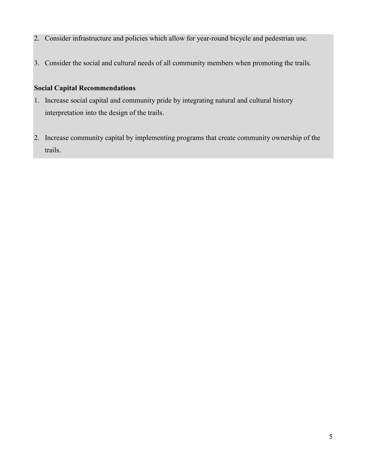- 2. Consider infrastructure and policies which allow for year-round bicycle and pedestrian use.
- 3. Consider the social and cultural needs of all community members when promoting the trails.

#### **Social Capital Recommendations**

- 1. Increase social capital and community pride by integrating natural and cultural history interpretation into the design of the trails.
- 2. Increase community capital by implementing programs that create community ownership of the trails.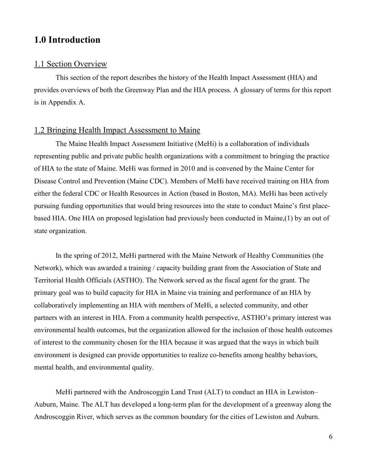## **1.0 Introduction**

### 1.1 Section Overview

 This section of the report describes the history of the Health Impact Assessment (HIA) and provides overviews of both the Greenway Plan and the HIA process. A glossary of terms for this report is in Appendix A.

## 1.2 Bringing Health Impact Assessment to Maine

The Maine Health Impact Assessment Initiative (MeHi) is a collaboration of individuals representing public and private public health organizations with a commitment to bringing the practice of HIA to the state of Maine. MeHi was formed in 2010 and is convened by the Maine Center for Disease Control and Prevention (Maine CDC). Members of MeHi have received training on HIA from either the federal CDC or Health Resources in Action (based in Boston, MA). MeHi has been actively pursuing funding opportunities that would bring resources into the state to conduct Maine's first placebased HIA. One HIA on proposed legislation had previously been conducted in Maine,(1) by an out of state organization.

In the spring of 2012, MeHi partnered with the Maine Network of Healthy Communities (the Network), which was awarded a training / capacity building grant from the Association of State and Territorial Health Officials (ASTHO). The Network served as the fiscal agent for the grant. The primary goal was to build capacity for HIA in Maine via training and performance of an HIA by collaboratively implementing an HIA with members of MeHi, a selected community, and other partners with an interest in HIA. From a community health perspective, ASTHO's primary interest was environmental health outcomes, but the organization allowed for the inclusion of those health outcomes of interest to the community chosen for the HIA because it was argued that the ways in which built environment is designed can provide opportunities to realize co-benefits among healthy behaviors, mental health, and environmental quality.

MeHi partnered with the Androscoggin Land Trust (ALT) to conduct an HIA in Lewiston– Auburn, Maine. The ALT has developed a long-term plan for the development of a greenway along the Androscoggin River, which serves as the common boundary for the cities of Lewiston and Auburn.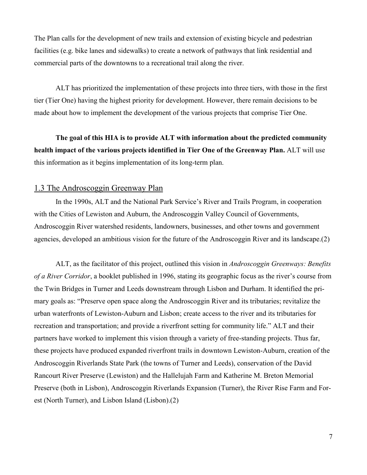The Plan calls for the development of new trails and extension of existing bicycle and pedestrian facilities (e.g. bike lanes and sidewalks) to create a network of pathways that link residential and commercial parts of the downtowns to a recreational trail along the river.

ALT has prioritized the implementation of these projects into three tiers, with those in the first tier (Tier One) having the highest priority for development. However, there remain decisions to be made about how to implement the development of the various projects that comprise Tier One.

**The goal of this HIA is to provide ALT with information about the predicted community health impact of the various projects identified in Tier One of the Greenway Plan.** ALT will use this information as it begins implementation of its long-term plan.

#### 1.3 The Androscoggin Greenway Plan

In the 1990s, ALT and the National Park Service's River and Trails Program, in cooperation with the Cities of Lewiston and Auburn, the Androscoggin Valley Council of Governments, Androscoggin River watershed residents, landowners, businesses, and other towns and government agencies, developed an ambitious vision for the future of the Androscoggin River and its landscape.(2)

ALT, as the facilitator of this project, outlined this vision in *Androscoggin Greenways: Benefits of a River Corridor*, a booklet published in 1996, stating its geographic focus as the river's course from the Twin Bridges in Turner and Leeds downstream through Lisbon and Durham. It identified the primary goals as: "Preserve open space along the Androscoggin River and its tributaries; revitalize the urban waterfronts of Lewiston-Auburn and Lisbon; create access to the river and its tributaries for recreation and transportation; and provide a riverfront setting for community life." ALT and their partners have worked to implement this vision through a variety of free-standing projects. Thus far, these projects have produced expanded riverfront trails in downtown Lewiston-Auburn, creation of the Androscoggin Riverlands State Park (the towns of Turner and Leeds), conservation of the David Rancourt River Preserve (Lewiston) and the Hallelujah Farm and Katherine M. Breton Memorial Preserve (both in Lisbon), Androscoggin Riverlands Expansion (Turner), the River Rise Farm and Forest (North Turner), and Lisbon Island (Lisbon).(2)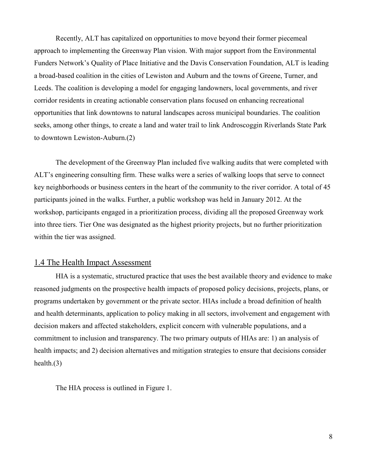Recently, ALT has capitalized on opportunities to move beyond their former piecemeal approach to implementing the Greenway Plan vision. With major support from the Environmental Funders Network's Quality of Place Initiative and the Davis Conservation Foundation, ALT is leading a broad-based coalition in the cities of Lewiston and Auburn and the towns of Greene, Turner, and Leeds. The coalition is developing a model for engaging landowners, local governments, and river corridor residents in creating actionable conservation plans focused on enhancing recreational opportunities that link downtowns to natural landscapes across municipal boundaries. The coalition seeks, among other things, to create a land and water trail to link Androscoggin Riverlands State Park to downtown Lewiston-Auburn.(2)

The development of the Greenway Plan included five walking audits that were completed with ALT's engineering consulting firm. These walks were a series of walking loops that serve to connect key neighborhoods or business centers in the heart of the community to the river corridor. A total of 45 participants joined in the walks. Further, a public workshop was held in January 2012. At the workshop, participants engaged in a prioritization process, dividing all the proposed Greenway work into three tiers. Tier One was designated as the highest priority projects, but no further prioritization within the tier was assigned.

#### 1.4 The Health Impact Assessment

HIA is a systematic, structured practice that uses the best available theory and evidence to make reasoned judgments on the prospective health impacts of proposed policy decisions, projects, plans, or programs undertaken by government or the private sector. HIAs include a broad definition of health and health determinants, application to policy making in all sectors, involvement and engagement with decision makers and affected stakeholders, explicit concern with vulnerable populations, and a commitment to inclusion and transparency. The two primary outputs of HIAs are: 1) an analysis of health impacts; and 2) decision alternatives and mitigation strategies to ensure that decisions consider health.(3)

The HIA process is outlined in Figure 1.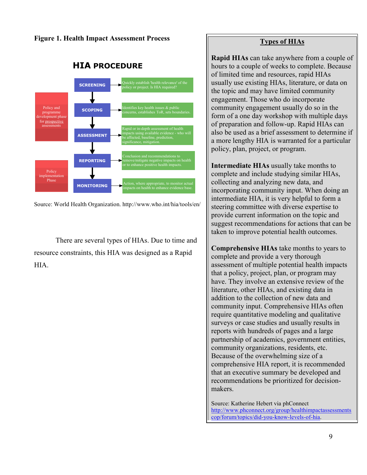**Figure 1. Health Impact Assessment Process** 



**HIA PROCEDURE**

Source: World Health Organization. http://www.who.int/hia/tools/en/

There are several types of HIAs. Due to time and resource constraints, this HIA was designed as a Rapid HIA.

#### **Types of HIAs**

**Rapid HIAs** can take anywhere from a couple of hours to a couple of weeks to complete. Because of limited time and resources, rapid HIAs usually use existing HIAs, literature, or data on the topic and may have limited community engagement. Those who do incorporate community engagement usually do so in the form of a one day workshop with multiple days of preparation and follow-up. Rapid HIAs can also be used as a brief assessment to determine if a more lengthy HIA is warranted for a particular policy, plan, project, or program.

**Intermediate HIAs** usually take months to complete and include studying similar HIAs, collecting and analyzing new data, and incorporating community input. When doing an intermediate HIA, it is very helpful to form a steering committee with diverse expertise to provide current information on the topic and suggest recommendations for actions that can be taken to improve potential health outcomes.

**Comprehensive HIAs** take months to years to complete and provide a very thorough assessment of multiple potential health impacts that a policy, project, plan, or program may have. They involve an extensive review of the literature, other HIAs, and existing data in addition to the collection of new data and community input. Comprehensive HIAs often require quantitative modeling and qualitative surveys or case studies and usually results in reports with hundreds of pages and a large partnership of academics, government entities, community organizations, residents, etc. Because of the overwhelming size of a comprehensive HIA report, it is recommended that an executive summary be developed and recommendations be prioritized for decisionmakers.

Source: Katherine Hebert via phConnect http://www.phconnect.org/group/healthimpactassessments cop/forum/topics/did-you-know-levels-of-hia.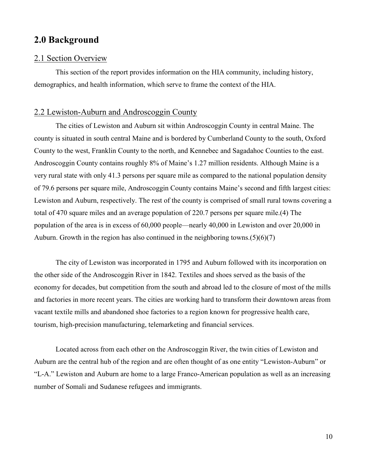## **2.0 Background**

#### 2.1 Section Overview

 This section of the report provides information on the HIA community, including history, demographics, and health information, which serve to frame the context of the HIA.

#### 2.2 Lewiston-Auburn and Androscoggin County

The cities of Lewiston and Auburn sit within Androscoggin County in central Maine. The county is situated in south central Maine and is bordered by Cumberland County to the south, Oxford County to the west, Franklin County to the north, and Kennebec and Sagadahoc Counties to the east. Androscoggin County contains roughly 8% of Maine's 1.27 million residents. Although Maine is a very rural state with only 41.3 persons per square mile as compared to the national population density of 79.6 persons per square mile, Androscoggin County contains Maine's second and fifth largest cities: Lewiston and Auburn, respectively. The rest of the county is comprised of small rural towns covering a total of 470 square miles and an average population of 220.7 persons per square mile.(4) The population of the area is in excess of 60,000 people—nearly 40,000 in Lewiston and over 20,000 in Auburn. Growth in the region has also continued in the neighboring towns. $(5)(6)(7)$ 

The city of Lewiston was incorporated in 1795 and Auburn followed with its incorporation on the other side of the Androscoggin River in 1842. Textiles and shoes served as the basis of the economy for decades, but competition from the south and abroad led to the closure of most of the mills and factories in more recent years. The cities are working hard to transform their downtown areas from vacant textile mills and abandoned shoe factories to a region known for progressive health care, tourism, high-precision manufacturing, telemarketing and financial services.

Located across from each other on the Androscoggin River, the twin cities of Lewiston and Auburn are the central hub of the region and are often thought of as one entity "Lewiston-Auburn" or "L-A." Lewiston and Auburn are home to a large Franco-American population as well as an increasing number of Somali and Sudanese refugees and immigrants.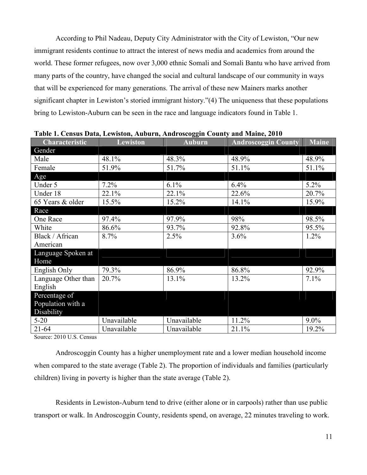According to Phil Nadeau, Deputy City Administrator with the City of Lewiston, "Our new immigrant residents continue to attract the interest of news media and academics from around the world. These former refugees, now over 3,000 ethnic Somali and Somali Bantu who have arrived from many parts of the country, have changed the social and cultural landscape of our community in ways that will be experienced for many generations. The arrival of these new Mainers marks another significant chapter in Lewiston's storied immigrant history."(4) The uniqueness that these populations bring to Lewiston-Auburn can be seen in the race and language indicators found in Table 1.

| Characteristic        | <b>Lewiston</b> | <b>Auburn</b> | <b>Androscoggin County</b> | <b>Maine</b> |
|-----------------------|-----------------|---------------|----------------------------|--------------|
| Gender                |                 |               |                            |              |
| Male                  | 48.1%           | 48.3%         | 48.9%                      | 48.9%        |
| Female                | 51.9%           | 51.7%         | 51.1%                      | 51.1%        |
| Age                   |                 |               |                            |              |
| Under 5               | 7.2%            | 6.1%          | 6.4%                       | 5.2%         |
| Under 18              | 22.1%           | 22.1%         | 22.6%                      | 20.7%        |
| 65 Years & older      | 15.5%           | 15.2%         | 14.1%                      | 15.9%        |
| Race                  |                 |               |                            |              |
| One Race              | 97.4%           | 97.9%         | 98%                        | 98.5%        |
| White                 | 86.6%           | 93.7%         | 92.8%                      | 95.5%        |
| Black / African       | 8.7%            | 2.5%          | 3.6%                       | 1.2%         |
| American              |                 |               |                            |              |
| Language Spoken at    |                 |               |                            |              |
| Home                  |                 |               |                            |              |
| English Only          | 79.3%           | 86.9%         | 86.8%                      | 92.9%        |
| Language Other than   | 20.7%           | 13.1%         | 13.2%                      | 7.1%         |
| English               |                 |               |                            |              |
| Percentage of         |                 |               |                            |              |
| Population with a     |                 |               |                            |              |
| Disability            |                 |               |                            |              |
| $5 - 20$              | Unavailable     | Unavailable   | 11.2%                      | $9.0\%$      |
| $21 - 64$<br>0.01017C | Unavailable     | Unavailable   | 21.1%                      | 19.2%        |

**Table 1. Census Data, Lewiston, Auburn, Androscoggin County and Maine, 2010** 

Source: 2010 U.S. Census

Androscoggin County has a higher unemployment rate and a lower median household income when compared to the state average (Table 2). The proportion of individuals and families (particularly children) living in poverty is higher than the state average (Table 2).

Residents in Lewiston-Auburn tend to drive (either alone or in carpools) rather than use public transport or walk. In Androscoggin County, residents spend, on average, 22 minutes traveling to work.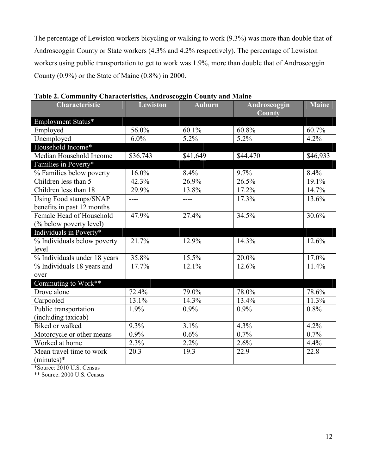The percentage of Lewiston workers bicycling or walking to work (9.3%) was more than double that of Androscoggin County or State workers (4.3% and 4.2% respectively). The percentage of Lewiston workers using public transportation to get to work was 1.9%, more than double that of Androscoggin County (0.9%) or the State of Maine (0.8%) in 2000.

| <b>Characteristic</b>        | <b>Lewiston</b> | Auburn   | Androscoggin<br>County | <b>Maine</b> |
|------------------------------|-----------------|----------|------------------------|--------------|
| Employment Status*           |                 |          |                        |              |
| Employed                     | 56.0%           | 60.1%    | 60.8%                  | 60.7%        |
| Unemployed                   | 6.0%            | 5.2%     | 5.2%                   | 4.2%         |
| Household Income*            |                 |          |                        |              |
| Median Household Income      | \$36,743        | \$41,649 | \$44,470               | \$46,933     |
| Families in Poverty*         |                 |          |                        |              |
| % Families below poverty     | 16.0%           | 8.4%     | 9.7%                   | 8.4%         |
| Children less than 5         | 42.3%           | 26.9%    | 26.5%                  | 19.1%        |
| Children less than 18        | 29.9%           | 13.8%    | 17.2%                  | 14.7%        |
| Using Food stamps/SNAP       | ----            | ----     | 17.3%                  | 13.6%        |
| benefits in past 12 months   |                 |          |                        |              |
| Female Head of Household     | 47.9%           | 27.4%    | 34.5%                  | 30.6%        |
| (% below poverty level)      |                 |          |                        |              |
| Individuals in Poverty*      |                 |          |                        |              |
| % Individuals below poverty  | 21.7%           | 12.9%    | 14.3%                  | 12.6%        |
| level                        |                 |          |                        |              |
| % Individuals under 18 years | 35.8%           | 15.5%    | $20.0\%$               | 17.0%        |
| % Individuals 18 years and   | 17.7%           | 12.1%    | 12.6%                  | 11.4%        |
| over                         |                 |          |                        |              |
| Commuting to Work**          |                 |          |                        |              |
| Drove alone                  | 72.4%           | 79.0%    | 78.0%                  | 78.6%        |
| Carpooled                    | 13.1%           | 14.3%    | 13.4%                  | 11.3%        |
| Public transportation        | 1.9%            | 0.9%     | 0.9%                   | 0.8%         |
| (including taxicab)          |                 |          |                        |              |
| <b>Biked or walked</b>       | $9.3\%$         | 3.1%     | 4.3%                   | 4.2%         |
| Motorcycle or other means    | $0.9\%$         | 0.6%     | 0.7%                   | 0.7%         |
| Worked at home               | 2.3%            | 2.2%     | 2.6%                   | 4.4%         |
| Mean travel time to work     | 20.3            | 19.3     | 22.9                   | 22.8         |
| $(minutes)*$                 |                 |          |                        |              |

**Table 2. Community Characteristics, Androscoggin County and Maine** 

\*Source: 2010 U.S. Census

\*\* Source: 2000 U.S. Census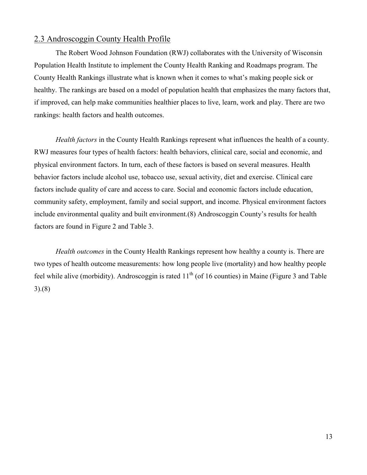#### 2.3 Androscoggin County Health Profile

The Robert Wood Johnson Foundation (RWJ) collaborates with the University of Wisconsin Population Health Institute to implement the County Health Ranking and Roadmaps program. The County Health Rankings illustrate what is known when it comes to what's making people sick or healthy. The rankings are based on a model of population health that emphasizes the many factors that, if improved, can help make communities healthier places to live, learn, work and play. There are two rankings: health factors and health outcomes.

*Health factors* in the County Health Rankings represent what influences the health of a county. RWJ measures four types of health factors: health behaviors, clinical care, social and economic, and physical environment factors. In turn, each of these factors is based on several measures. Health behavior factors include alcohol use, tobacco use, sexual activity, diet and exercise. Clinical care factors include quality of care and access to care. Social and economic factors include education, community safety, employment, family and social support, and income. Physical environment factors include environmental quality and built environment.(8) Androscoggin County's results for health factors are found in Figure 2 and Table 3.

*Health outcomes* in the County Health Rankings represent how healthy a county is. There are two types of health outcome measurements: how long people live (mortality) and how healthy people feel while alive (morbidity). Androscoggin is rated  $11<sup>th</sup>$  (of 16 counties) in Maine (Figure 3 and Table 3).(8)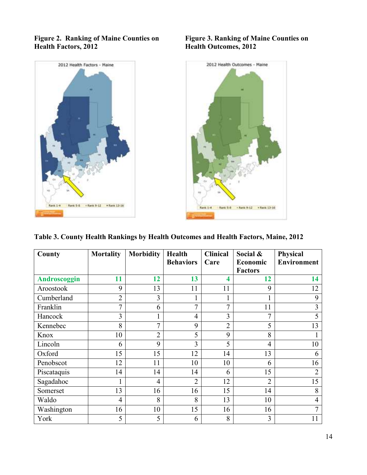

#### **Figure 2. Ranking of Maine Counties on Figure 3. Ranking of Maine Counties on Health Pactors, 2012** Health Outcomes, 2012



**Table 3. County Health Rankings by Health Outcomes and Health Factors, Maine, 2012** 

| County       | <b>Mortality</b> | <b>Morbidity</b> | <b>Health</b><br><b>Behaviors</b> | <b>Clinical</b><br>Care | Social &<br><b>Economic</b> | Physical<br><b>Environment</b> |
|--------------|------------------|------------------|-----------------------------------|-------------------------|-----------------------------|--------------------------------|
|              |                  |                  |                                   |                         | <b>Factors</b>              |                                |
| Androscoggin | 11               | 12               | 13                                | $\overline{\mathbf{4}}$ | 12                          | 14                             |
| Aroostook    | 9                | 13               | 11                                | 11                      | 9                           | 12                             |
| Cumberland   | $\overline{2}$   | 3                | 1                                 | 1                       |                             | 9                              |
| Franklin     | $\overline{7}$   | 6                | $\overline{7}$                    | $\overline{7}$          | 11                          | 3                              |
| Hancock      | 3                | $\mathbf{1}$     | $\overline{4}$                    | 3                       | $\overline{7}$              | 5                              |
| Kennebec     | 8                | $\overline{7}$   | 9                                 | $\overline{2}$          | 5                           | 13                             |
| Knox         | 10               | $\overline{2}$   | 5                                 | 9                       | 8                           |                                |
| Lincoln      | 6                | 9                | 3                                 | 5                       | $\overline{4}$              | 10                             |
| Oxford       | 15               | 15               | 12                                | 14                      | 13                          | 6                              |
| Penobscot    | 12               | 11               | 10                                | 10                      | 6                           | 16                             |
| Piscataquis  | 14               | 14               | 14                                | 6                       | 15                          | $\overline{2}$                 |
| Sagadahoc    |                  | $\overline{4}$   | $\overline{2}$                    | 12                      | $\overline{2}$              | 15                             |
| Somerset     | 13               | 16               | 16                                | 15                      | 14                          | 8                              |
| Waldo        | 4                | 8                | 8                                 | 13                      | 10                          | $\overline{4}$                 |
| Washington   | 16               | 10               | 15                                | 16                      | 16                          | 7                              |
| York         | 5                | 5                | 6                                 | 8                       | 3                           | 11                             |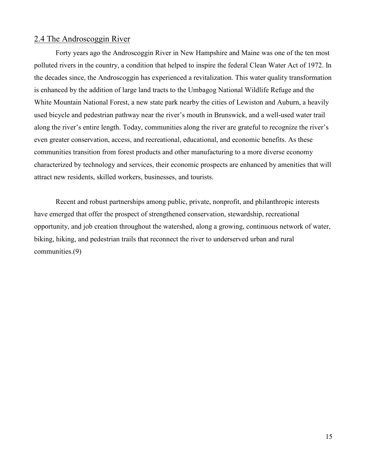#### 2.4 The Androscoggin River

Forty years ago the Androscoggin River in New Hampshire and Maine was one of the ten most polluted rivers in the country, a condition that helped to inspire the federal Clean Water Act of 1972. In the decades since, the Androscoggin has experienced a revitalization. This water quality transformation is enhanced by the addition of large land tracts to the Umbagog National Wildlife Refuge and the White Mountain National Forest, a new state park nearby the cities of Lewiston and Auburn, a heavily used bicycle and pedestrian pathway near the river's mouth in Brunswick, and a well-used water trail along the river's entire length. Today, communities along the river are grateful to recognize the river's even greater conservation, access, and recreational, educational, and economic benefits. As these communities transition from forest products and other manufacturing to a more diverse economy characterized by technology and services, their economic prospects are enhanced by amenities that will attract new residents, skilled workers, businesses, and tourists.

Recent and robust partnerships among public, private, nonprofit, and philanthropic interests have emerged that offer the prospect of strengthened conservation, stewardship, recreational opportunity, and job creation throughout the watershed, along a growing, continuous network of water, biking, hiking, and pedestrian trails that reconnect the river to underserved urban and rural communities.(9)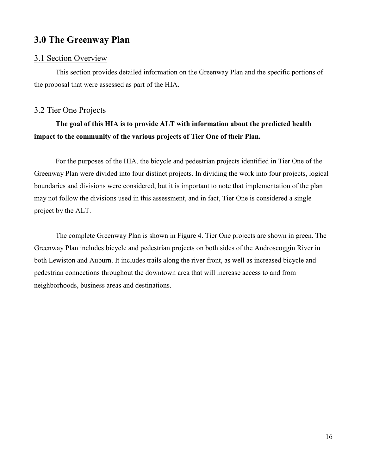# **3.0 The Greenway Plan**

#### 3.1 Section Overview

 This section provides detailed information on the Greenway Plan and the specific portions of the proposal that were assessed as part of the HIA.

## 3.2 Tier One Projects

# **The goal of this HIA is to provide ALT with information about the predicted health impact to the community of the various projects of Tier One of their Plan.**

 For the purposes of the HIA, the bicycle and pedestrian projects identified in Tier One of the Greenway Plan were divided into four distinct projects. In dividing the work into four projects, logical boundaries and divisions were considered, but it is important to note that implementation of the plan may not follow the divisions used in this assessment, and in fact, Tier One is considered a single project by the ALT.

 The complete Greenway Plan is shown in Figure 4. Tier One projects are shown in green. The Greenway Plan includes bicycle and pedestrian projects on both sides of the Androscoggin River in both Lewiston and Auburn. It includes trails along the river front, as well as increased bicycle and pedestrian connections throughout the downtown area that will increase access to and from neighborhoods, business areas and destinations.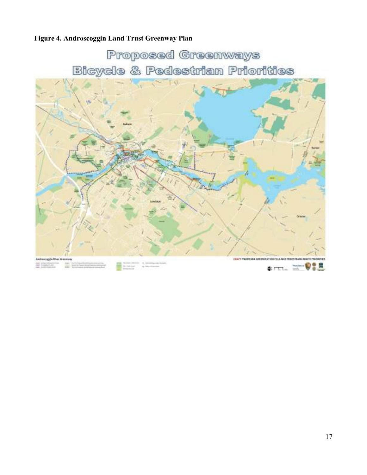# **Figure 4. Androscoggin Land Trust Greenway Plan**

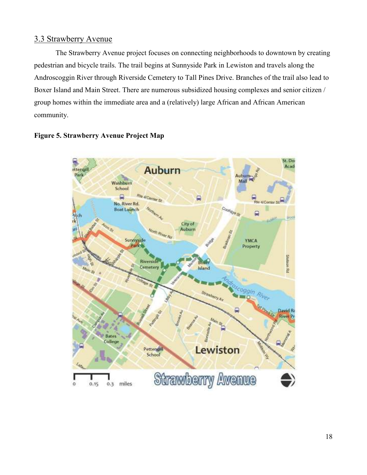## 3.3 Strawberry Avenue

The Strawberry Avenue project focuses on connecting neighborhoods to downtown by creating pedestrian and bicycle trails. The trail begins at Sunnyside Park in Lewiston and travels along the Androscoggin River through Riverside Cemetery to Tall Pines Drive. Branches of the trail also lead to Boxer Island and Main Street. There are numerous subsidized housing complexes and senior citizen / group homes within the immediate area and a (relatively) large African and African American community.



#### **Figure 5. Strawberry Avenue Project Map**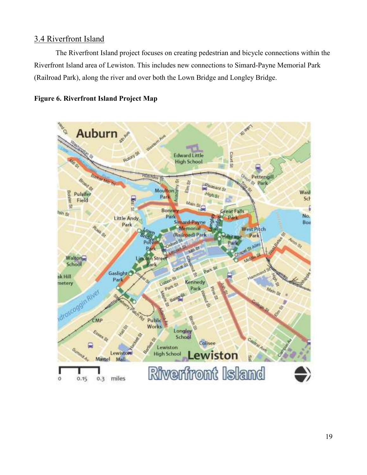## 3.4 Riverfront Island

The Riverfront Island project focuses on creating pedestrian and bicycle connections within the Riverfront Island area of Lewiston. This includes new connections to Simard-Payne Memorial Park (Railroad Park), along the river and over both the Lown Bridge and Longley Bridge.



## **Figure 6. Riverfront Island Project Map**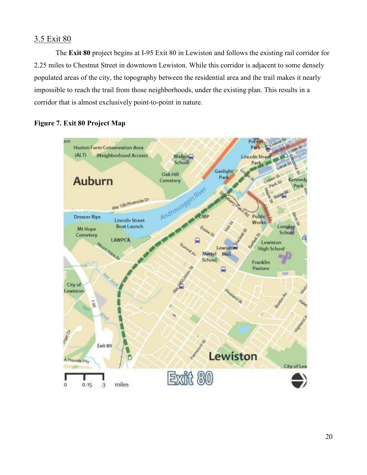## 3.5 Exit 80

The **Exit 80** project begins at I-95 Exit 80 in Lewiston and follows the existing rail corridor for 2.25 miles to Chestnut Street in downtown Lewiston. While this corridor is adjacent to some densely populated areas of the city, the topography between the residential area and the trail makes it nearly impossible to reach the trail from those neighborhoods, under the existing plan. This results in a corridor that is almost exclusively point-to-point in nature.



## **Figure 7. Exit 80 Project Map**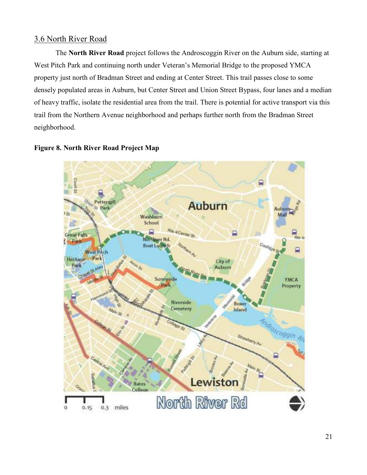## 3.6 North River Road

The **North River Road** project follows the Androscoggin River on the Auburn side, starting at West Pitch Park and continuing north under Veteran's Memorial Bridge to the proposed YMCA property just north of Bradman Street and ending at Center Street. This trail passes close to some densely populated areas in Auburn, but Center Street and Union Street Bypass, four lanes and a median of heavy traffic, isolate the residential area from the trail. There is potential for active transport via this trail from the Northern Avenue neighborhood and perhaps further north from the Bradman Street neighborhood.



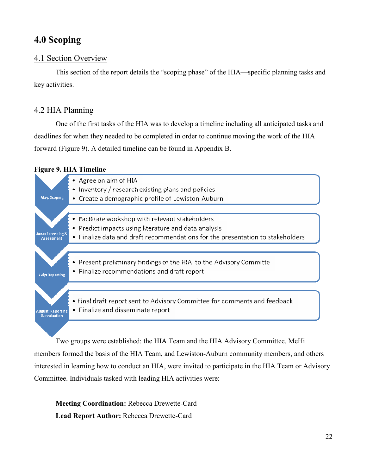# **4.0 Scoping**

## 4.1 Section Overview

 This section of the report details the "scoping phase" of the HIA—specific planning tasks and key activities.

## 4.2 HIA Planning

One of the first tasks of the HIA was to develop a timeline including all anticipated tasks and deadlines for when they needed to be completed in order to continue moving the work of the HIA forward (Figure 9). A detailed timeline can be found in Appendix B.

#### **Figure 9. HIA Timeline**



Two groups were established: the HIA Team and the HIA Advisory Committee. MeHi members formed the basis of the HIA Team, and Lewiston-Auburn community members, and others interested in learning how to conduct an HIA, were invited to participate in the HIA Team or Advisory Committee. Individuals tasked with leading HIA activities were:

**Meeting Coordination:** Rebecca Drewette-Card **Lead Report Author:** Rebecca Drewette-Card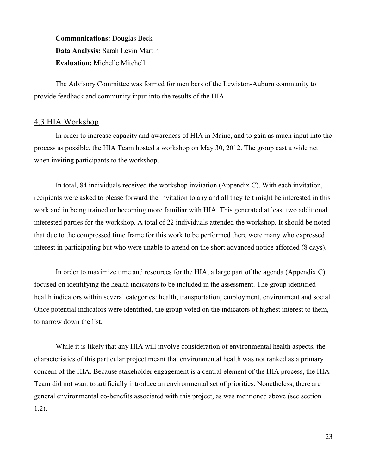**Communications:** Douglas Beck **Data Analysis:** Sarah Levin Martin **Evaluation:** Michelle Mitchell

 The Advisory Committee was formed for members of the Lewiston-Auburn community to provide feedback and community input into the results of the HIA.

#### 4.3 HIA Workshop

In order to increase capacity and awareness of HIA in Maine, and to gain as much input into the process as possible, the HIA Team hosted a workshop on May 30, 2012. The group cast a wide net when inviting participants to the workshop.

In total, 84 individuals received the workshop invitation (Appendix C). With each invitation, recipients were asked to please forward the invitation to any and all they felt might be interested in this work and in being trained or becoming more familiar with HIA. This generated at least two additional interested parties for the workshop. A total of 22 individuals attended the workshop. It should be noted that due to the compressed time frame for this work to be performed there were many who expressed interest in participating but who were unable to attend on the short advanced notice afforded (8 days).

In order to maximize time and resources for the HIA, a large part of the agenda (Appendix C) focused on identifying the health indicators to be included in the assessment. The group identified health indicators within several categories: health, transportation, employment, environment and social. Once potential indicators were identified, the group voted on the indicators of highest interest to them, to narrow down the list.

While it is likely that any HIA will involve consideration of environmental health aspects, the characteristics of this particular project meant that environmental health was not ranked as a primary concern of the HIA. Because stakeholder engagement is a central element of the HIA process, the HIA Team did not want to artificially introduce an environmental set of priorities. Nonetheless, there are general environmental co-benefits associated with this project, as was mentioned above (see section 1.2).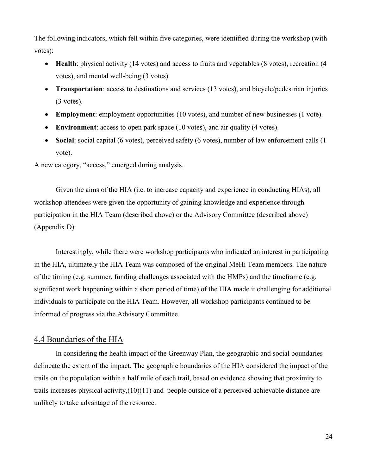The following indicators, which fell within five categories, were identified during the workshop (with votes):

- **Health**: physical activity (14 votes) and access to fruits and vegetables (8 votes), recreation (4 votes), and mental well-being (3 votes).
- **Transportation**: access to destinations and services (13 votes), and bicycle/pedestrian injuries (3 votes).
- **Employment**: employment opportunities (10 votes), and number of new businesses (1 vote).
- **Environment**: access to open park space (10 votes), and air quality (4 votes).
- **Social**: social capital (6 votes), perceived safety (6 votes), number of law enforcement calls (1 vote).

A new category, "access," emerged during analysis.

Given the aims of the HIA (i.e. to increase capacity and experience in conducting HIAs), all workshop attendees were given the opportunity of gaining knowledge and experience through participation in the HIA Team (described above) or the Advisory Committee (described above) (Appendix D).

 Interestingly, while there were workshop participants who indicated an interest in participating in the HIA, ultimately the HIA Team was composed of the original MeHi Team members. The nature of the timing (e.g. summer, funding challenges associated with the HMPs) and the timeframe (e.g. significant work happening within a short period of time) of the HIA made it challenging for additional individuals to participate on the HIA Team. However, all workshop participants continued to be informed of progress via the Advisory Committee.

#### 4.4 Boundaries of the HIA

In considering the health impact of the Greenway Plan, the geographic and social boundaries delineate the extent of the impact. The geographic boundaries of the HIA considered the impact of the trails on the population within a half mile of each trail, based on evidence showing that proximity to trails increases physical activity,(10)(11) and people outside of a perceived achievable distance are unlikely to take advantage of the resource.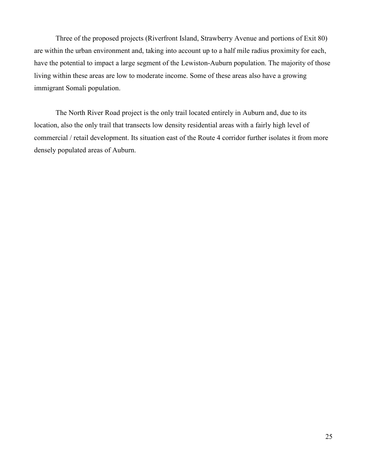Three of the proposed projects (Riverfront Island, Strawberry Avenue and portions of Exit 80) are within the urban environment and, taking into account up to a half mile radius proximity for each, have the potential to impact a large segment of the Lewiston-Auburn population. The majority of those living within these areas are low to moderate income. Some of these areas also have a growing immigrant Somali population.

The North River Road project is the only trail located entirely in Auburn and, due to its location, also the only trail that transects low density residential areas with a fairly high level of commercial / retail development. Its situation east of the Route 4 corridor further isolates it from more densely populated areas of Auburn.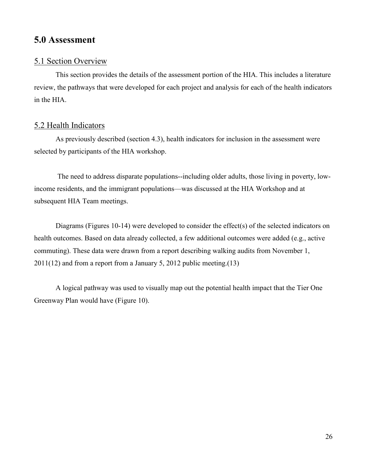# **5.0 Assessment**

## 5.1 Section Overview

 This section provides the details of the assessment portion of the HIA. This includes a literature review, the pathways that were developed for each project and analysis for each of the health indicators in the HIA.

## 5.2 Health Indicators

As previously described (section 4.3), health indicators for inclusion in the assessment were selected by participants of the HIA workshop.

 The need to address disparate populations--including older adults, those living in poverty, lowincome residents, and the immigrant populations—was discussed at the HIA Workshop and at subsequent HIA Team meetings.

Diagrams (Figures 10-14) were developed to consider the effect(s) of the selected indicators on health outcomes. Based on data already collected, a few additional outcomes were added (e.g., active commuting). These data were drawn from a report describing walking audits from November 1, 2011(12) and from a report from a January 5, 2012 public meeting.(13)

A logical pathway was used to visually map out the potential health impact that the Tier One Greenway Plan would have (Figure 10).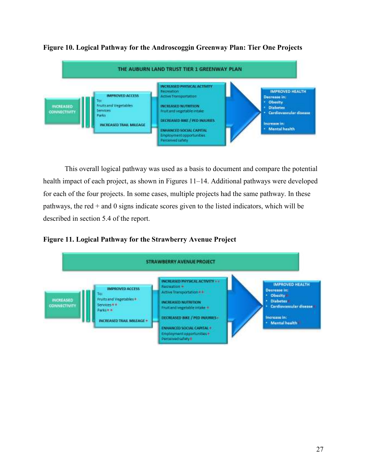

**Figure 10. Logical Pathway for the Androscoggin Greenway Plan: Tier One Projects** 

This overall logical pathway was used as a basis to document and compare the potential health impact of each project, as shown in Figures 11–14. Additional pathways were developed for each of the four projects. In some cases, multiple projects had the same pathway. In these pathways, the red  $+$  and 0 signs indicate scores given to the listed indicators, which will be described in section 5.4 of the report.

#### **Figure 11. Logical Pathway for the Strawberry Avenue Project**

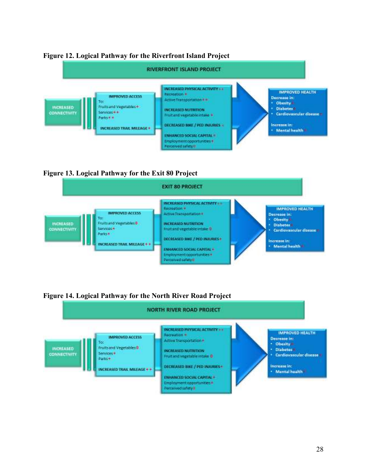

#### **Figure 12. Logical Pathway for the Riverfront Island Project**

**Figure 13. Logical Pathway for the Exit 80 Project** 



## **Figure 14. Logical Pathway for the North River Road Project**

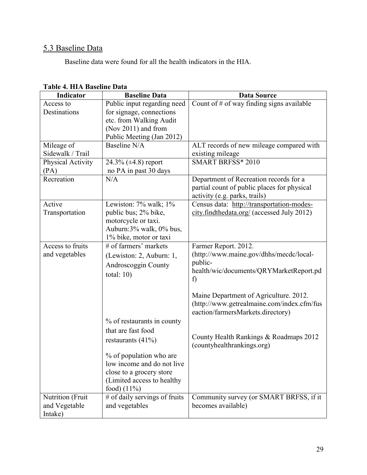# 5.3 Baseline Data

Baseline data were found for all the health indicators in the HIA.

| <b>Indicator</b>  | <b>Baseline Data</b>                            | <b>Data Source</b>                                 |
|-------------------|-------------------------------------------------|----------------------------------------------------|
| Access to         | Public input regarding need                     | Count of $#$ of way finding signs available        |
| Destinations      | for signage, connections                        |                                                    |
|                   | etc. from Walking Audit                         |                                                    |
|                   | (Nov 2011) and from                             |                                                    |
|                   | Public Meeting (Jan 2012)                       |                                                    |
| Mileage of        | Baseline N/A                                    | ALT records of new mileage compared with           |
| Sidewalk / Trail  |                                                 | existing mileage                                   |
| Physical Activity | 24.3% $(\pm 4.8)$ report                        | <b>SMART BRFSS* 2010</b>                           |
| (PA)              | no PA in past 30 days                           |                                                    |
| Recreation        | N/A                                             | Department of Recreation records for a             |
|                   |                                                 | partial count of public places for physical        |
|                   |                                                 | activity (e.g. parks, trails)                      |
| Active            | Lewiston: $7\%$ walk; $1\%$                     | Census data: http://transportation-modes-          |
| Transportation    | public bus; 2% bike,                            | city.findthedata.org/ (accessed July 2012)         |
|                   | motorcycle or taxi.                             |                                                    |
|                   | Auburn:3% walk, 0% bus,                         |                                                    |
| Access to fruits  | 1% bike, motor or taxi<br># of farmers' markets |                                                    |
|                   |                                                 | Farmer Report. 2012.                               |
| and vegetables    | (Lewiston: 2, Auburn: 1,                        | (http://www.maine.gov/dhhs/mecdc/local-<br>public- |
|                   | Androscoggin County                             | health/wic/documents/QRYMarketReport.pd            |
|                   | total: $10$ )                                   | f)                                                 |
|                   |                                                 |                                                    |
|                   |                                                 | Maine Department of Agriculture. 2012.             |
|                   |                                                 | (http://www.getrealmaine.com/index.cfm/fus         |
|                   |                                                 | eaction/farmersMarkets.directory)                  |
|                   | % of restaurants in county                      |                                                    |
|                   | that are fast food                              |                                                    |
|                   |                                                 | County Health Rankings & Roadmaps 2012             |
|                   | restaurants $(41\%)$                            | (countyhealthrankings.org)                         |
|                   | % of population who are                         |                                                    |
|                   | low income and do not live                      |                                                    |
|                   | close to a grocery store                        |                                                    |
|                   | (Limited access to healthy                      |                                                    |
|                   | food) $(11\%)$                                  |                                                    |
| Nutrition (Fruit  | # of daily servings of fruits                   | Community survey (or SMART BRFSS, if it            |
| and Vegetable     | and vegetables                                  | becomes available)                                 |
| Intake)           |                                                 |                                                    |

#### **Table 4. HIA Baseline Data**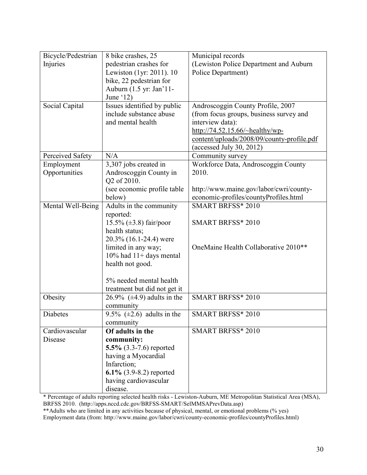| Bicycle/Pedestrian | 8 bike crashes, 25               | Municipal records                                |
|--------------------|----------------------------------|--------------------------------------------------|
| Injuries           | pedestrian crashes for           | (Lewiston Police Department and Auburn           |
|                    | Lewiston (1yr: 2011). 10         | Police Department)                               |
|                    | bike, 22 pedestrian for          |                                                  |
|                    | Auburn (1.5 yr: Jan'11-          |                                                  |
|                    | June $(12)$                      |                                                  |
| Social Capital     | Issues identified by public      | Androscoggin County Profile, 2007                |
|                    | include substance abuse          | (from focus groups, business survey and          |
|                    | and mental health                | interview data):                                 |
|                    |                                  | http://74.52.15.66/~healthy/wp-                  |
|                    |                                  | content/uploads/2008/09/county-profile.pdf       |
|                    |                                  | (accessed July 30, 2012)                         |
| Perceived Safety   | N/A                              | Community survey                                 |
| Employment         | 3,307 jobs created in            | Workforce Data, Androscoggin County              |
| Opportunities      | Androscoggin County in           | 2010.                                            |
|                    | Q2 of 2010.                      |                                                  |
|                    | (see economic profile table      | http://www.maine.gov/labor/cwri/county-          |
|                    | below)                           | economic-profiles/countyProfiles.html            |
| Mental Well-Being  | Adults in the community          | <b>SMART BRFSS* 2010</b>                         |
|                    | reported:                        |                                                  |
|                    | $15.5\%$ ( $\pm 3.8$ ) fair/poor | <b>SMART BRFSS* 2010</b>                         |
|                    | health status;                   |                                                  |
|                    | 20.3% (16.1-24.4) were           |                                                  |
|                    | limited in any way;              | OneMaine Health Collaborative 2010 <sup>**</sup> |
|                    | $10\%$ had $11+$ days mental     |                                                  |
|                    | health not good.                 |                                                  |
|                    |                                  |                                                  |
|                    | 5% needed mental health          |                                                  |
|                    | treatment but did not get it     |                                                  |
| Obesity            | 26.9% $(\pm 4.9)$ adults in the  | <b>SMART BRFSS* 2010</b>                         |
|                    | community                        |                                                  |
| Diabetes           | 9.5% $(\pm 2.6)$ adults in the   | <b>SMART BRFSS* 2010</b>                         |
|                    | community                        |                                                  |
| Cardiovascular     | Of adults in the                 | <b>SMART BRFSS* 2010</b>                         |
| Disease            | community:                       |                                                  |
|                    | 5.5% $(3.3-7.6)$ reported        |                                                  |
|                    | having a Myocardial              |                                                  |
|                    | Infarction;                      |                                                  |
|                    | $6.1\%$ (3.9-8.2) reported       |                                                  |
|                    | having cardiovascular            |                                                  |
|                    | disease.                         |                                                  |

\* Percentage of adults reporting selected health risks - Lewiston-Auburn, ME Metropolitan Statistical Area (MSA), BRFSS 2010. (http://apps.nccd.cdc.gov/BRFSS-SMART/SelMMSAPrevData.asp)

\*\*Adults who are limited in any activities because of physical, mental, or emotional problems (% yes)

Employment data (from: http://www.maine.gov/labor/cwri/county-economic-profiles/countyProfiles.html)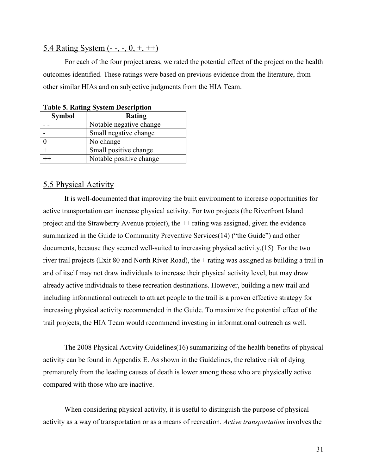### 5.4 Rating System (- -, -, 0, +, ++)

For each of the four project areas, we rated the potential effect of the project on the health outcomes identified. These ratings were based on previous evidence from the literature, from other similar HIAs and on subjective judgments from the HIA Team.

| $14010$ of $1400$ $140$ $1400$ |                         |  |  |
|--------------------------------|-------------------------|--|--|
| <b>Symbol</b>                  | Rating                  |  |  |
|                                | Notable negative change |  |  |
|                                | Small negative change   |  |  |
|                                | No change               |  |  |
|                                | Small positive change   |  |  |
|                                | Notable positive change |  |  |

**Table 5. Rating System Description** 

#### 5.5 Physical Activity

It is well-documented that improving the built environment to increase opportunities for active transportation can increase physical activity. For two projects (the Riverfront Island project and the Strawberry Avenue project), the ++ rating was assigned, given the evidence summarized in the Guide to Community Preventive Services(14) ("the Guide") and other documents, because they seemed well-suited to increasing physical activity.(15) For the two river trail projects (Exit 80 and North River Road), the + rating was assigned as building a trail in and of itself may not draw individuals to increase their physical activity level, but may draw already active individuals to these recreation destinations. However, building a new trail and including informational outreach to attract people to the trail is a proven effective strategy for increasing physical activity recommended in the Guide. To maximize the potential effect of the trail projects, the HIA Team would recommend investing in informational outreach as well.

The 2008 Physical Activity Guidelines(16) summarizing of the health benefits of physical activity can be found in Appendix E. As shown in the Guidelines, the relative risk of dying prematurely from the leading causes of death is lower among those who are physically active compared with those who are inactive.

When considering physical activity, it is useful to distinguish the purpose of physical activity as a way of transportation or as a means of recreation. *Active transportation* involves the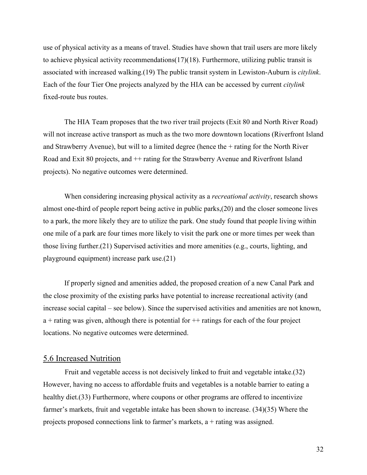use of physical activity as a means of travel. Studies have shown that trail users are more likely to achieve physical activity recommendations(17)(18). Furthermore, utilizing public transit is associated with increased walking.(19) The public transit system in Lewiston-Auburn is *citylink*. Each of the four Tier One projects analyzed by the HIA can be accessed by current *citylink* fixed-route bus routes.

The HIA Team proposes that the two river trail projects (Exit 80 and North River Road) will not increase active transport as much as the two more downtown locations (Riverfront Island and Strawberry Avenue), but will to a limited degree (hence the + rating for the North River Road and Exit 80 projects, and ++ rating for the Strawberry Avenue and Riverfront Island projects). No negative outcomes were determined.

When considering increasing physical activity as a *recreational activity*, research shows almost one-third of people report being active in public parks,(20) and the closer someone lives to a park, the more likely they are to utilize the park. One study found that people living within one mile of a park are four times more likely to visit the park one or more times per week than those living further.(21) Supervised activities and more amenities (e.g., courts, lighting, and playground equipment) increase park use.(21)

If properly signed and amenities added, the proposed creation of a new Canal Park and the close proximity of the existing parks have potential to increase recreational activity (and increase social capital – see below). Since the supervised activities and amenities are not known,  $a +$ rating was given, although there is potential for  $++$  ratings for each of the four project locations. No negative outcomes were determined.

#### 5.6 Increased Nutrition

Fruit and vegetable access is not decisively linked to fruit and vegetable intake.(32) However, having no access to affordable fruits and vegetables is a notable barrier to eating a healthy diet.(33) Furthermore, where coupons or other programs are offered to incentivize farmer's markets, fruit and vegetable intake has been shown to increase. (34)(35) Where the projects proposed connections link to farmer's markets,  $a +$  rating was assigned.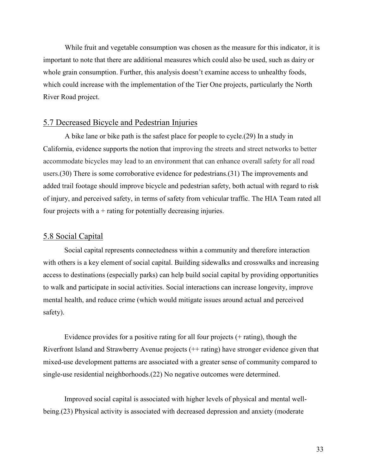While fruit and vegetable consumption was chosen as the measure for this indicator, it is important to note that there are additional measures which could also be used, such as dairy or whole grain consumption. Further, this analysis doesn't examine access to unhealthy foods, which could increase with the implementation of the Tier One projects, particularly the North River Road project.

#### 5.7 Decreased Bicycle and Pedestrian Injuries

A bike lane or bike path is the safest place for people to cycle.(29) In a study in California, evidence supports the notion that improving the streets and street networks to better accommodate bicycles may lead to an environment that can enhance overall safety for all road users.(30) There is some corroborative evidence for pedestrians.(31) The improvements and added trail footage should improve bicycle and pedestrian safety, both actual with regard to risk of injury, and perceived safety, in terms of safety from vehicular traffic. The HIA Team rated all four projects with  $a +$  rating for potentially decreasing injuries.

#### 5.8 Social Capital

Social capital represents connectedness within a community and therefore interaction with others is a key element of social capital. Building sidewalks and crosswalks and increasing access to destinations (especially parks) can help build social capital by providing opportunities to walk and participate in social activities. Social interactions can increase longevity, improve mental health, and reduce crime (which would mitigate issues around actual and perceived safety).

Evidence provides for a positive rating for all four projects (+ rating), though the Riverfront Island and Strawberry Avenue projects (++ rating) have stronger evidence given that mixed-use development patterns are associated with a greater sense of community compared to single-use residential neighborhoods.(22) No negative outcomes were determined.

Improved social capital is associated with higher levels of physical and mental wellbeing.(23) Physical activity is associated with decreased depression and anxiety (moderate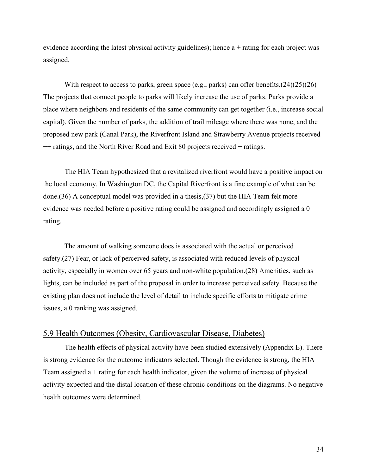evidence according the latest physical activity guidelines); hence  $a +$  rating for each project was assigned.

With respect to access to parks, green space (e.g., parks) can offer benefits.(24)(25)(26) The projects that connect people to parks will likely increase the use of parks. Parks provide a place where neighbors and residents of the same community can get together (i.e., increase social capital). Given the number of parks, the addition of trail mileage where there was none, and the proposed new park (Canal Park), the Riverfront Island and Strawberry Avenue projects received ++ ratings, and the North River Road and Exit 80 projects received + ratings.

The HIA Team hypothesized that a revitalized riverfront would have a positive impact on the local economy. In Washington DC, the Capital Riverfront is a fine example of what can be done.(36) A conceptual model was provided in a thesis,(37) but the HIA Team felt more evidence was needed before a positive rating could be assigned and accordingly assigned a 0 rating.

The amount of walking someone does is associated with the actual or perceived safety.(27) Fear, or lack of perceived safety, is associated with reduced levels of physical activity, especially in women over 65 years and non-white population.(28) Amenities, such as lights, can be included as part of the proposal in order to increase perceived safety. Because the existing plan does not include the level of detail to include specific efforts to mitigate crime issues, a 0 ranking was assigned.

#### 5.9 Health Outcomes (Obesity, Cardiovascular Disease, Diabetes)

The health effects of physical activity have been studied extensively (Appendix E). There is strong evidence for the outcome indicators selected. Though the evidence is strong, the HIA Team assigned a + rating for each health indicator, given the volume of increase of physical activity expected and the distal location of these chronic conditions on the diagrams. No negative health outcomes were determined.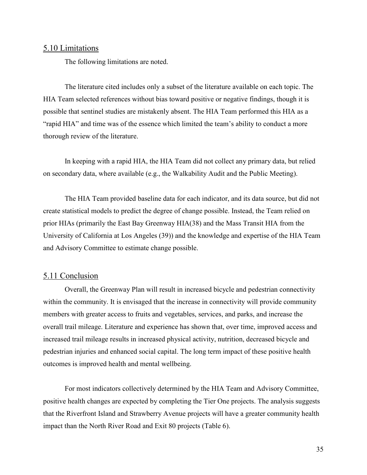#### 5.10 Limitations

The following limitations are noted.

The literature cited includes only a subset of the literature available on each topic. The HIA Team selected references without bias toward positive or negative findings, though it is possible that sentinel studies are mistakenly absent. The HIA Team performed this HIA as a "rapid HIA" and time was of the essence which limited the team's ability to conduct a more thorough review of the literature.

In keeping with a rapid HIA, the HIA Team did not collect any primary data, but relied on secondary data, where available (e.g., the Walkability Audit and the Public Meeting).

The HIA Team provided baseline data for each indicator, and its data source, but did not create statistical models to predict the degree of change possible. Instead, the Team relied on prior HIAs (primarily the East Bay Greenway HIA(38) and the Mass Transit HIA from the University of California at Los Angeles (39)) and the knowledge and expertise of the HIA Team and Advisory Committee to estimate change possible.

#### 5.11 Conclusion

Overall, the Greenway Plan will result in increased bicycle and pedestrian connectivity within the community. It is envisaged that the increase in connectivity will provide community members with greater access to fruits and vegetables, services, and parks, and increase the overall trail mileage. Literature and experience has shown that, over time, improved access and increased trail mileage results in increased physical activity, nutrition, decreased bicycle and pedestrian injuries and enhanced social capital. The long term impact of these positive health outcomes is improved health and mental wellbeing.

For most indicators collectively determined by the HIA Team and Advisory Committee, positive health changes are expected by completing the Tier One projects. The analysis suggests that the Riverfront Island and Strawberry Avenue projects will have a greater community health impact than the North River Road and Exit 80 projects (Table 6).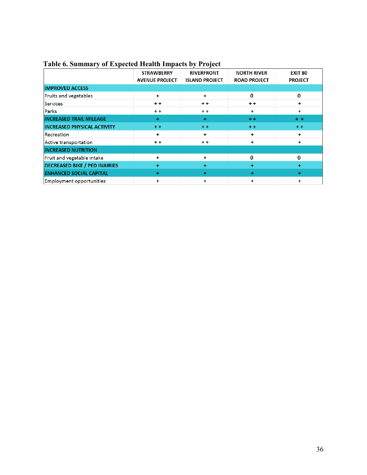| $\checkmark$<br>л.                   | <b>STRAWBERRY</b><br><b>AVENUE PROJECT</b> | $\cdot$<br><b>RIVERFRONT</b><br><b>ISLAND PROJECT</b> | <b>NORTH RIVER</b><br><b>ROAD PROJECT</b> | <b>EXIT 80</b><br><b>PROJECT</b> |
|--------------------------------------|--------------------------------------------|-------------------------------------------------------|-------------------------------------------|----------------------------------|
| <b>IMPROVED ACCESS</b>               |                                            |                                                       |                                           |                                  |
| Fruits and vegetables                | ÷                                          | ٠                                                     | $\bf{0}$                                  | 0                                |
| <b>Services</b>                      | $+ +$                                      | $++$                                                  | $+ +$                                     | ٠                                |
| Parks                                | $+ +$                                      | $+ +$                                                 | ÷                                         | $+$                              |
| <b>INCREASED TRAIL MILEAGE</b>       | $\ddot{}$                                  | ÷                                                     | $+ +$                                     | $+ +$                            |
| <b>INCREASED PHYSICAL ACTIVITY</b>   | $+ +$                                      | $+ +$                                                 | $+ +$                                     | $+ +$                            |
| Recreation                           | ÷                                          | ٠                                                     | ۰                                         | ٠                                |
| Active transportation                | $+ +$                                      | $+ +$                                                 | ٠                                         | ÷                                |
| <b>INCREASED NUTRITION</b>           |                                            |                                                       |                                           |                                  |
| Fruit and vegetable intake           | ÷                                          | ÷                                                     | 0                                         | 0                                |
| <b>DECREASED BIKE / PED INJURIES</b> | $\ddot{}$                                  | ÷                                                     | ÷                                         | ÷                                |
| <b>ENHANCED SOCIAL CAPITAL</b>       | $+$                                        | ÷                                                     | ÷                                         | $+$                              |
| <b>Employment opportunities</b>      | ٠                                          | ٠                                                     | ٠                                         | ٠                                |

## **Table 6. Summary of Expected Health Impacts by Project**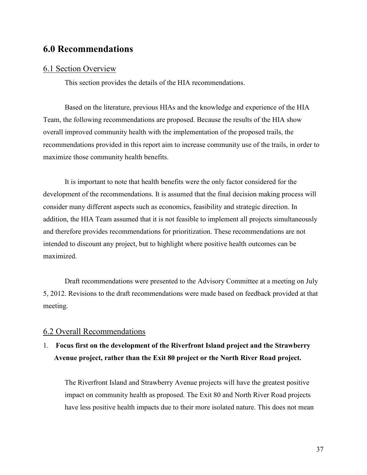# **6.0 Recommendations**

#### 6.1 Section Overview

This section provides the details of the HIA recommendations.

Based on the literature, previous HIAs and the knowledge and experience of the HIA Team, the following recommendations are proposed. Because the results of the HIA show overall improved community health with the implementation of the proposed trails, the recommendations provided in this report aim to increase community use of the trails, in order to maximize those community health benefits.

It is important to note that health benefits were the only factor considered for the development of the recommendations. It is assumed that the final decision making process will consider many different aspects such as economics, feasibility and strategic direction. In addition, the HIA Team assumed that it is not feasible to implement all projects simultaneously and therefore provides recommendations for prioritization. These recommendations are not intended to discount any project, but to highlight where positive health outcomes can be maximized.

Draft recommendations were presented to the Advisory Committee at a meeting on July 5, 2012. Revisions to the draft recommendations were made based on feedback provided at that meeting.

#### 6.2 Overall Recommendations

# 1. **Focus first on the development of the Riverfront Island project and the Strawberry Avenue project, rather than the Exit 80 project or the North River Road project.**

The Riverfront Island and Strawberry Avenue projects will have the greatest positive impact on community health as proposed. The Exit 80 and North River Road projects have less positive health impacts due to their more isolated nature. This does not mean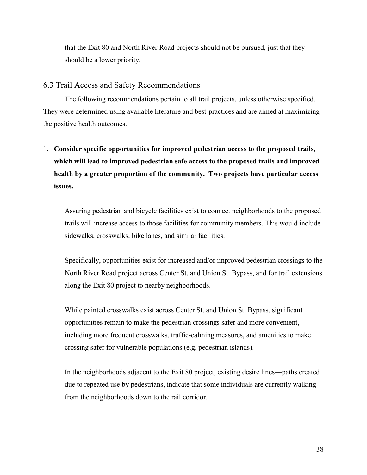that the Exit 80 and North River Road projects should not be pursued, just that they should be a lower priority.

#### 6.3 Trail Access and Safety Recommendations

 The following recommendations pertain to all trail projects, unless otherwise specified. They were determined using available literature and best-practices and are aimed at maximizing the positive health outcomes.

1. **Consider specific opportunities for improved pedestrian access to the proposed trails, which will lead to improved pedestrian safe access to the proposed trails and improved health by a greater proportion of the community. Two projects have particular access issues.**

Assuring pedestrian and bicycle facilities exist to connect neighborhoods to the proposed trails will increase access to those facilities for community members. This would include sidewalks, crosswalks, bike lanes, and similar facilities.

Specifically, opportunities exist for increased and/or improved pedestrian crossings to the North River Road project across Center St. and Union St. Bypass, and for trail extensions along the Exit 80 project to nearby neighborhoods.

While painted crosswalks exist across Center St. and Union St. Bypass, significant opportunities remain to make the pedestrian crossings safer and more convenient, including more frequent crosswalks, traffic-calming measures, and amenities to make crossing safer for vulnerable populations (e.g. pedestrian islands).

In the neighborhoods adjacent to the Exit 80 project, existing desire lines—paths created due to repeated use by pedestrians, indicate that some individuals are currently walking from the neighborhoods down to the rail corridor.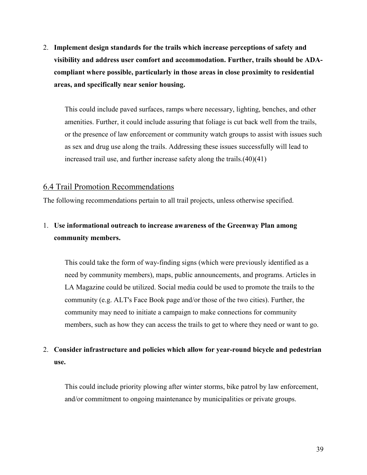2. **Implement design standards for the trails which increase perceptions of safety and visibility and address user comfort and accommodation. Further, trails should be ADAcompliant where possible, particularly in those areas in close proximity to residential areas, and specifically near senior housing.**

This could include paved surfaces, ramps where necessary, lighting, benches, and other amenities. Further, it could include assuring that foliage is cut back well from the trails, or the presence of law enforcement or community watch groups to assist with issues such as sex and drug use along the trails. Addressing these issues successfully will lead to increased trail use, and further increase safety along the trails.(40)(41)

#### 6.4 Trail Promotion Recommendations

The following recommendations pertain to all trail projects, unless otherwise specified.

# 1. **Use informational outreach to increase awareness of the Greenway Plan among community members.**

This could take the form of way-finding signs (which were previously identified as a need by community members), maps, public announcements, and programs. Articles in LA Magazine could be utilized. Social media could be used to promote the trails to the community (e.g. ALT's Face Book page and/or those of the two cities). Further, the community may need to initiate a campaign to make connections for community members, such as how they can access the trails to get to where they need or want to go.

## 2. **Consider infrastructure and policies which allow for year-round bicycle and pedestrian use.**

This could include priority plowing after winter storms, bike patrol by law enforcement, and/or commitment to ongoing maintenance by municipalities or private groups.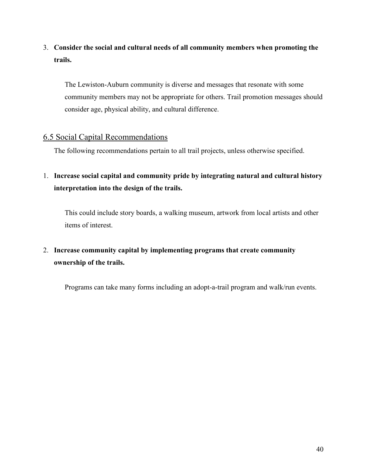# 3. **Consider the social and cultural needs of all community members when promoting the trails.**

The Lewiston-Auburn community is diverse and messages that resonate with some community members may not be appropriate for others. Trail promotion messages should consider age, physical ability, and cultural difference.

## 6.5 Social Capital Recommendations

The following recommendations pertain to all trail projects, unless otherwise specified.

1. **Increase social capital and community pride by integrating natural and cultural history interpretation into the design of the trails.**

This could include story boards, a walking museum, artwork from local artists and other items of interest.

# 2. **Increase community capital by implementing programs that create community ownership of the trails.**

Programs can take many forms including an adopt-a-trail program and walk/run events.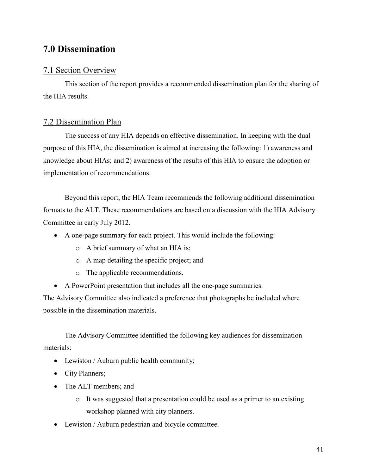# **7.0 Dissemination**

## 7.1 Section Overview

 This section of the report provides a recommended dissemination plan for the sharing of the HIA results.

## 7.2 Dissemination Plan

The success of any HIA depends on effective dissemination. In keeping with the dual purpose of this HIA, the dissemination is aimed at increasing the following: 1) awareness and knowledge about HIAs; and 2) awareness of the results of this HIA to ensure the adoption or implementation of recommendations.

Beyond this report, the HIA Team recommends the following additional dissemination formats to the ALT. These recommendations are based on a discussion with the HIA Advisory Committee in early July 2012.

- A one-page summary for each project. This would include the following:
	- o A brief summary of what an HIA is;
	- o A map detailing the specific project; and
	- o The applicable recommendations.
- A PowerPoint presentation that includes all the one-page summaries.

The Advisory Committee also indicated a preference that photographs be included where possible in the dissemination materials.

The Advisory Committee identified the following key audiences for dissemination materials:

- Lewiston / Auburn public health community;
- City Planners;
- The ALT members; and
	- o It was suggested that a presentation could be used as a primer to an existing workshop planned with city planners.
- Lewiston / Auburn pedestrian and bicycle committee.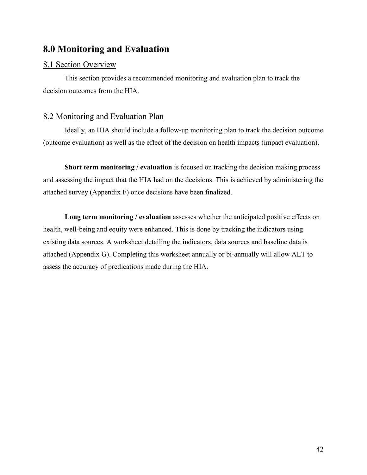# **8.0 Monitoring and Evaluation**

## 8.1 Section Overview

 This section provides a recommended monitoring and evaluation plan to track the decision outcomes from the HIA.

## 8.2 Monitoring and Evaluation Plan

Ideally, an HIA should include a follow-up monitoring plan to track the decision outcome (outcome evaluation) as well as the effect of the decision on health impacts (impact evaluation).

**Short term monitoring / evaluation** is focused on tracking the decision making process and assessing the impact that the HIA had on the decisions. This is achieved by administering the attached survey (Appendix F) once decisions have been finalized.

**Long term monitoring / evaluation** assesses whether the anticipated positive effects on health, well-being and equity were enhanced. This is done by tracking the indicators using existing data sources. A worksheet detailing the indicators, data sources and baseline data is attached (Appendix G). Completing this worksheet annually or bi-annually will allow ALT to assess the accuracy of predications made during the HIA.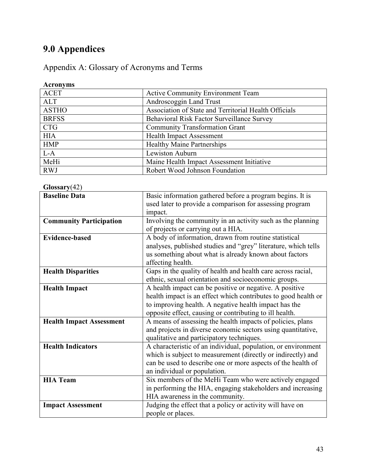# **9.0 Appendices**

Appendix A: Glossary of Acronyms and Terms

#### **Acronyms**  Active Community Environment Team ALT<br>ASTHO Association of State and Trust Association of State and Territorial Health Officials BRFSS Behavioral Risk Factor Surveillance Survey<br>CTG Community Transformation Grant CTG COMMUNITY Transformation Grant<br>
HIA Health Impact Assessment HIA Health Impact Assessment<br>HMP Healthy Maine Partnership Healthy Maine Partnerships L-A Lewiston Auburn MeHi Maine Health Impact Assessment Initiative RWJ Robert Wood Johnson Foundation

| Glossary(42)  |
|---------------|
| Rasaling Data |

| <b>Baseline Data</b>            | Basic information gathered before a program begins. It is      |
|---------------------------------|----------------------------------------------------------------|
|                                 | used later to provide a comparison for assessing program       |
|                                 | impact.                                                        |
| <b>Community Participation</b>  | Involving the community in an activity such as the planning    |
|                                 | of projects or carrying out a HIA.                             |
| <b>Evidence-based</b>           | A body of information, drawn from routine statistical          |
|                                 | analyses, published studies and "grey" literature, which tells |
|                                 | us something about what is already known about factors         |
|                                 | affecting health.                                              |
| <b>Health Disparities</b>       | Gaps in the quality of health and health care across racial,   |
|                                 | ethnic, sexual orientation and socioeconomic groups.           |
| <b>Health Impact</b>            | A health impact can be positive or negative. A positive        |
|                                 | health impact is an effect which contributes to good health or |
|                                 | to improving health. A negative health impact has the          |
|                                 | opposite effect, causing or contributing to ill health.        |
| <b>Health Impact Assessment</b> | A means of assessing the health impacts of policies, plans     |
|                                 | and projects in diverse economic sectors using quantitative,   |
|                                 | qualitative and participatory techniques.                      |
| <b>Health Indicators</b>        | A characteristic of an individual, population, or environment  |
|                                 | which is subject to measurement (directly or indirectly) and   |
|                                 | can be used to describe one or more aspects of the health of   |
|                                 | an individual or population.                                   |
| <b>HIA Team</b>                 | Six members of the MeHi Team who were actively engaged         |
|                                 | in performing the HIA, engaging stakeholders and increasing    |
|                                 | HIA awareness in the community.                                |
| <b>Impact Assessment</b>        | Judging the effect that a policy or activity will have on      |
|                                 | people or places.                                              |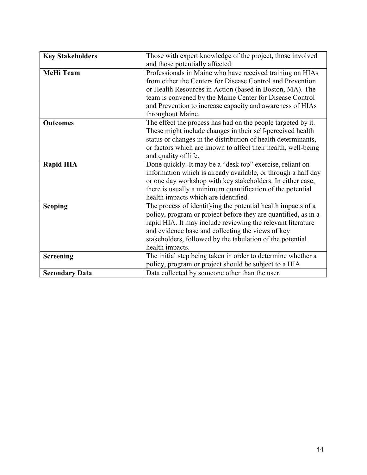| <b>Key Stakeholders</b> | Those with expert knowledge of the project, those involved     |
|-------------------------|----------------------------------------------------------------|
|                         | and those potentially affected.                                |
| <b>MeHi Team</b>        | Professionals in Maine who have received training on HIAs      |
|                         | from either the Centers for Disease Control and Prevention     |
|                         | or Health Resources in Action (based in Boston, MA). The       |
|                         | team is convened by the Maine Center for Disease Control       |
|                         | and Prevention to increase capacity and awareness of HIAs      |
|                         | throughout Maine.                                              |
| <b>Outcomes</b>         | The effect the process has had on the people targeted by it.   |
|                         | These might include changes in their self-perceived health     |
|                         | status or changes in the distribution of health determinants,  |
|                         | or factors which are known to affect their health, well-being  |
|                         | and quality of life.                                           |
| <b>Rapid HIA</b>        | Done quickly. It may be a "desk top" exercise, reliant on      |
|                         | information which is already available, or through a half day  |
|                         | or one day workshop with key stakeholders. In either case,     |
|                         | there is usually a minimum quantification of the potential     |
|                         | health impacts which are identified.                           |
| <b>Scoping</b>          | The process of identifying the potential health impacts of a   |
|                         | policy, program or project before they are quantified, as in a |
|                         | rapid HIA. It may include reviewing the relevant literature    |
|                         | and evidence base and collecting the views of key              |
|                         | stakeholders, followed by the tabulation of the potential      |
|                         | health impacts.                                                |
| <b>Screening</b>        | The initial step being taken in order to determine whether a   |
|                         | policy, program or project should be subject to a HIA          |
| <b>Secondary Data</b>   | Data collected by someone other than the user.                 |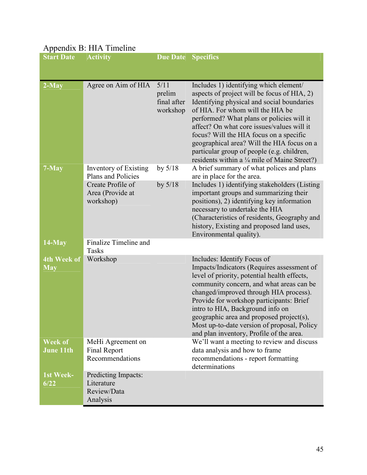| <b>Start Date</b>                  | $\mu$ reponded $\mu$ . The removement<br><b>Activity</b>     | <b>Due Date</b>                           | <b>Specifics</b>                                                                                                                                                                                                                                                                                                                                                                                                                                           |
|------------------------------------|--------------------------------------------------------------|-------------------------------------------|------------------------------------------------------------------------------------------------------------------------------------------------------------------------------------------------------------------------------------------------------------------------------------------------------------------------------------------------------------------------------------------------------------------------------------------------------------|
|                                    |                                                              |                                           |                                                                                                                                                                                                                                                                                                                                                                                                                                                            |
| $2-May$                            | Agree on Aim of HIA                                          | 5/11<br>prelim<br>final after<br>workshop | Includes 1) identifying which element/<br>aspects of project will be focus of HIA, 2)<br>Identifying physical and social boundaries<br>of HIA. For whom will the HIA be<br>performed? What plans or policies will it<br>affect? On what core issues/values will it<br>focus? Will the HIA focus on a specific<br>geographical area? Will the HIA focus on a<br>particular group of people (e.g. children,<br>residents within a 1/4 mile of Maine Street?) |
| 7-May                              | Inventory of Existing<br>Plans and Policies                  | by $5/18$                                 | A brief summary of what polices and plans<br>are in place for the area.                                                                                                                                                                                                                                                                                                                                                                                    |
|                                    | Create Profile of<br>Area (Provide at<br>workshop)           | by $5/18$                                 | Includes 1) identifying stakeholders (Listing<br>important groups and summarizing their<br>positions), 2) identifying key information<br>necessary to undertake the HIA<br>(Characteristics of residents, Geography and<br>history, Existing and proposed land uses,<br>Environmental quality).                                                                                                                                                            |
| $14$ -May                          | Finalize Timeline and<br>Tasks                               |                                           |                                                                                                                                                                                                                                                                                                                                                                                                                                                            |
| 4th Week of<br><b>May</b>          | Workshop                                                     |                                           | Includes: Identify Focus of<br>Impacts/Indicators (Requires assessment of<br>level of priority, potential health effects,<br>community concern, and what areas can be<br>changed/improved through HIA process).<br>Provide for workshop participants: Brief<br>intro to HIA, Background info on<br>geographic area and proposed project(s),<br>Most up-to-date version of proposal, Policy<br>and plan inventory, Profile of the area.                     |
| <b>Week of</b><br><b>June 11th</b> | MeHi Agreement on<br>Final Report<br>Recommendations         |                                           | We'll want a meeting to review and discuss<br>data analysis and how to frame<br>recommendations - report formatting<br>determinations                                                                                                                                                                                                                                                                                                                      |
| 1st Week-<br>6/22                  | Predicting Impacts:<br>Literature<br>Review/Data<br>Analysis |                                           |                                                                                                                                                                                                                                                                                                                                                                                                                                                            |

## Appendix B: HIA Timeline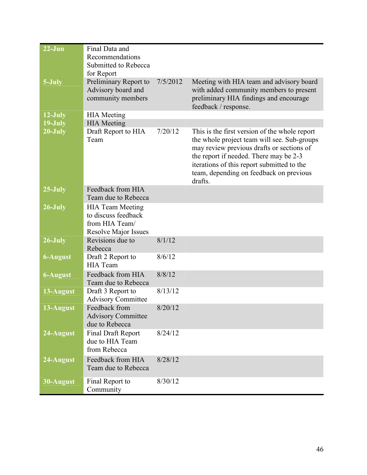| $22 - Jun$      | Final Data and<br>Recommendations<br>Submitted to Rebecca<br>for Report                         |          |                                                                                                                                                                                                                                                                                         |
|-----------------|-------------------------------------------------------------------------------------------------|----------|-----------------------------------------------------------------------------------------------------------------------------------------------------------------------------------------------------------------------------------------------------------------------------------------|
| 5-July          | Preliminary Report to<br>Advisory board and<br>community members                                | 7/5/2012 | Meeting with HIA team and advisory board<br>with added community members to present<br>preliminary HIA findings and encourage<br>feedback / response.                                                                                                                                   |
| 12-July         | <b>HIA</b> Meeting                                                                              |          |                                                                                                                                                                                                                                                                                         |
| 19-July         | <b>HIA</b> Meeting                                                                              |          |                                                                                                                                                                                                                                                                                         |
| 20-July         | Draft Report to HIA<br>Team                                                                     | 7/20/12  | This is the first version of the whole report<br>the whole project team will see. Sub-groups<br>may review previous drafts or sections of<br>the report if needed. There may be 2-3<br>iterations of this report submitted to the<br>team, depending on feedback on previous<br>drafts. |
| $25$ -July      | Feedback from HIA<br>Team due to Rebecca                                                        |          |                                                                                                                                                                                                                                                                                         |
| 26-July         | <b>HIA Team Meeting</b><br>to discuss feedback<br>from HIA Team/<br><b>Resolve Major Issues</b> |          |                                                                                                                                                                                                                                                                                         |
| 26-July         | Revisions due to<br>Rebecca                                                                     | 8/1/12   |                                                                                                                                                                                                                                                                                         |
| 6-August        | Draft 2 Report to<br><b>HIA</b> Team                                                            | 8/6/12   |                                                                                                                                                                                                                                                                                         |
| <b>6-August</b> | Feedback from HIA<br>Team due to Rebecca                                                        | 8/8/12   |                                                                                                                                                                                                                                                                                         |
| 13-August       | Draft 3 Report to<br><b>Advisory Committee</b>                                                  | 8/13/12  |                                                                                                                                                                                                                                                                                         |
| 13-August       | Feedback from<br><b>Advisory Committee</b><br>due to Rebecca                                    | 8/20/12  |                                                                                                                                                                                                                                                                                         |
| 24-August       | <b>Final Draft Report</b><br>due to HIA Team<br>from Rebecca                                    | 8/24/12  |                                                                                                                                                                                                                                                                                         |
| 24-August       | Feedback from HIA<br>Team due to Rebecca                                                        | 8/28/12  |                                                                                                                                                                                                                                                                                         |
| 30-August       | Final Report to<br>Community                                                                    | 8/30/12  |                                                                                                                                                                                                                                                                                         |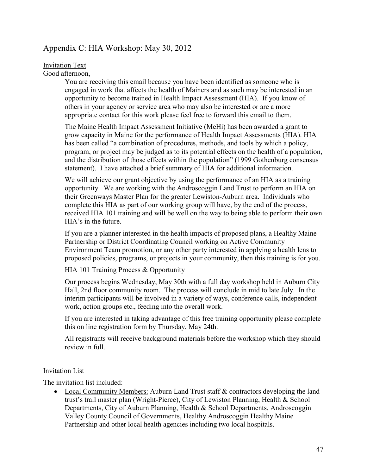## Appendix C: HIA Workshop: May 30, 2012

#### Invitation Text

Good afternoon,

You are receiving this email because you have been identified as someone who is engaged in work that affects the health of Mainers and as such may be interested in an opportunity to become trained in Health Impact Assessment (HIA). If you know of others in your agency or service area who may also be interested or are a more appropriate contact for this work please feel free to forward this email to them.

The Maine Health Impact Assessment Initiative (MeHi) has been awarded a grant to grow capacity in Maine for the performance of Health Impact Assessments (HIA). HIA has been called "a combination of procedures, methods, and tools by which a policy, program, or project may be judged as to its potential effects on the health of a population, and the distribution of those effects within the population" (1999 Gothenburg consensus statement). I have attached a brief summary of HIA for additional information.

We will achieve our grant objective by using the performance of an HIA as a training opportunity. We are working with the Androscoggin Land Trust to perform an HIA on their Greenways Master Plan for the greater Lewiston-Auburn area. Individuals who complete this HIA as part of our working group will have, by the end of the process, received HIA 101 training and will be well on the way to being able to perform their own HIA's in the future.

If you are a planner interested in the health impacts of proposed plans, a Healthy Maine Partnership or District Coordinating Council working on Active Community Environment Team promotion, or any other party interested in applying a health lens to proposed policies, programs, or projects in your community, then this training is for you.

HIA 101 Training Process & Opportunity

Our process begins Wednesday, May 30th with a full day workshop held in Auburn City Hall, 2nd floor community room. The process will conclude in mid to late July. In the interim participants will be involved in a variety of ways, conference calls, independent work, action groups etc., feeding into the overall work.

If you are interested in taking advantage of this free training opportunity please complete this on line registration form by Thursday, May 24th.

All registrants will receive background materials before the workshop which they should review in full.

#### Invitation List

The invitation list included:

• Local Community Members: Auburn Land Trust staff & contractors developing the land trust's trail master plan (Wright-Pierce), City of Lewiston Planning, Health & School Departments, City of Auburn Planning, Health & School Departments, Androscoggin Valley County Council of Governments, Healthy Androscoggin Healthy Maine Partnership and other local health agencies including two local hospitals.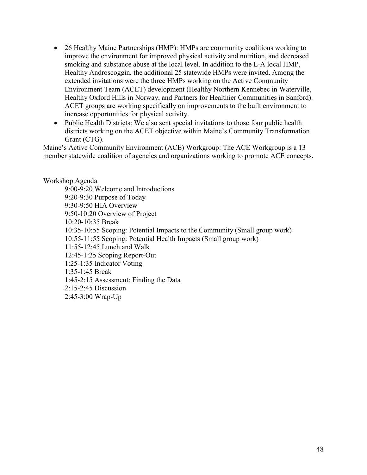- 26 Healthy Maine Partnerships (HMP): HMPs are community coalitions working to improve the environment for improved physical activity and nutrition, and decreased smoking and substance abuse at the local level. In addition to the L-A local HMP, Healthy Androscoggin, the additional 25 statewide HMPs were invited. Among the extended invitations were the three HMPs working on the Active Community Environment Team (ACET) development (Healthy Northern Kennebec in Waterville, Healthy Oxford Hills in Norway, and Partners for Healthier Communities in Sanford). ACET groups are working specifically on improvements to the built environment to increase opportunities for physical activity.
- Public Health Districts: We also sent special invitations to those four public health districts working on the ACET objective within Maine's Community Transformation Grant (CTG).

Maine's Active Community Environment (ACE) Workgroup: The ACE Workgroup is a 13 member statewide coalition of agencies and organizations working to promote ACE concepts.

#### Workshop Agenda

9:00-9:20 Welcome and Introductions 9:20-9:30 Purpose of Today 9:30-9:50 HIA Overview 9:50-10:20 Overview of Project 10:20-10:35 Break 10:35-10:55 Scoping: Potential Impacts to the Community (Small group work) 10:55-11:55 Scoping: Potential Health Impacts (Small group work) 11:55-12:45 Lunch and Walk 12:45-1:25 Scoping Report-Out 1:25-1:35 Indicator Voting 1:35-1:45 Break 1:45-2:15 Assessment: Finding the Data 2:15-2:45 Discussion 2:45-3:00 Wrap-Up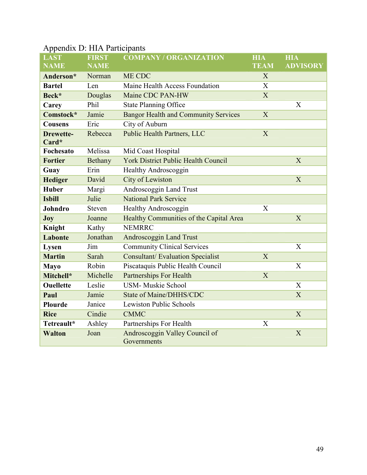| <b>LAST</b>                  | <b>FIRST</b> | <b>COMPANY / ORGANIZATION</b>               | <b>HIA</b>  | <b>HIA</b>  |
|------------------------------|--------------|---------------------------------------------|-------------|-------------|
| <b>NAME</b>                  | <b>NAME</b>  |                                             | <b>TEAM</b> | <b>ADVI</b> |
| Anderson*                    | Norman       | ME CDC                                      | X           |             |
| <b>Bartel</b>                | Len          | Maine Health Access Foundation              | X           |             |
| Beck*                        | Douglas      | Maine CDC PAN-HW                            | X           |             |
| Carey                        | Phil         | <b>State Planning Office</b>                |             | X           |
| Comstock*                    | Jamie        | <b>Bangor Health and Community Services</b> | X           |             |
| <b>Cousens</b>               | Eric         | City of Auburn                              |             |             |
| <b>Drewette-</b><br>$Card^*$ | Rebecca      | <b>Public Health Partners, LLC</b>          | X           |             |
| Fochesato                    | Melissa      | Mid Coast Hospital                          |             |             |
| <b>Fortier</b>               | Bethany      | <b>York District Public Health Council</b>  |             | X           |
| Guay                         | Erin         | <b>Healthy Androscoggin</b>                 |             |             |
| <b>Hediger</b>               | David        | City of Lewiston                            |             | X           |
| <b>Huber</b>                 | Margi        | Androscoggin Land Trust                     |             |             |
| <b>Isbill</b>                | Julie        | <b>National Park Service</b>                |             |             |
| Johndro                      | Steven       | Healthy Androscoggin                        | X           |             |
| $\mathbf{Joy}$               | Joanne       | Healthy Communities of the Capital Area     |             | X           |
| Knight                       | Kathy        | <b>NEMRRC</b>                               |             |             |
| Labonte                      | Jonathan     | Androscoggin Land Trust                     |             |             |
| <b>Lysen</b>                 | Jim          | <b>Community Clinical Services</b>          |             | X           |
| <b>Martin</b>                | Sarah        | <b>Consultant/Evaluation Specialist</b>     | X           |             |

**Mayo** Robin Piscataquis Public Health Council X

**Ouellette** Leslie USM- Muskie School X **Paul Jamie State of Maine/DHHS/CDC X** 

**Rice** Cindie CMMC X X

**Mitchell\*** Michelle Partnerships For Health X

**Tetreault\*** Ashley Partnerships For Health X

**Plourde** Janice Lewiston Public Schools

**Walton** Joan Androscoggin Valley Council of

**Governments** 

# Appendix D: HIA Participants

X

**HIA** 

**ADVISORY**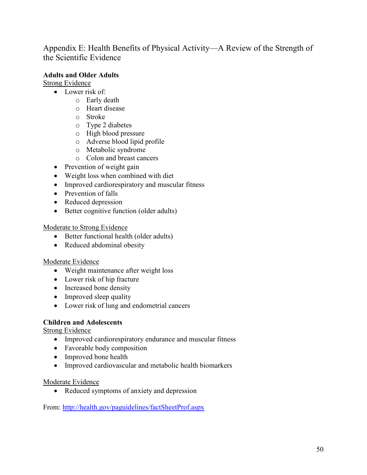Appendix E: Health Benefits of Physical Activity—A Review of the Strength of the Scientific Evidence

## **Adults and Older Adults**

Strong Evidence

- Lower risk of:
	- o Early death
	- o Heart disease
	- o Stroke
	- o Type 2 diabetes
	- o High blood pressure
	- o Adverse blood lipid profile
	- o Metabolic syndrome
	- o Colon and breast cancers
- Prevention of weight gain
- Weight loss when combined with diet
- Improved cardiorespiratory and muscular fitness
- Prevention of falls
- Reduced depression
- Better cognitive function (older adults)

Moderate to Strong Evidence

- Better functional health (older adults)
- Reduced abdominal obesity

#### Moderate Evidence

- Weight maintenance after weight loss
- Lower risk of hip fracture
- Increased bone density
- Improved sleep quality
- Lower risk of lung and endometrial cancers

#### **Children and Adolescents**

Strong Evidence

- Improved cardiorespiratory endurance and muscular fitness
- Favorable body composition
- Improved bone health
- Improved cardiovascular and metabolic health biomarkers

#### Moderate Evidence

• Reduced symptoms of anxiety and depression

From: http://health.gov/paguidelines/factSheetProf.aspx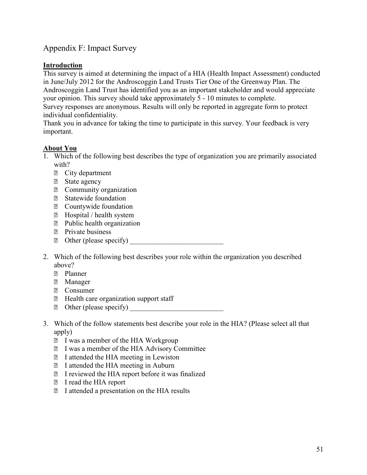## Appendix F: Impact Survey

#### **Introduction**

This survey is aimed at determining the impact of a HIA (Health Impact Assessment) conducted in June/July 2012 for the Androscoggin Land Trusts Tier One of the Greenway Plan. The Androscoggin Land Trust has identified you as an important stakeholder and would appreciate your opinion. This survey should take approximately 5 - 10 minutes to complete. Survey responses are anonymous. Results will only be reported in aggregate form to protect

individual confidentiality.

Thank you in advance for taking the time to participate in this survey. Your feedback is very important.

## **About You**

- 1. Which of the following best describes the type of organization you are primarily associated with?
	- ⃝ City department
	- ⃝ State agency
	- ⃝ Community organization
	- ⃝ Statewide foundation
	- ⃝ Countywide foundation
	- ⃝ Hospital / health system
	- ⃝ Public health organization
	- ⃝ Private business
	- $\Box$  Other (please specify)
- 2. Which of the following best describes your role within the organization you described above?
	- ⃝ Planner
	- ⃝ Manager
	- ⃝ Consumer
	- ⃝ Health care organization support staff
	- $\Box$  Other (please specify)
- 3. Which of the follow statements best describe your role in the HIA? (Please select all that apply)
	- ⃝ I was a member of the HIA Workgroup
	- ⃝ I was a member of the HIA Advisory Committee
	- ⃝ I attended the HIA meeting in Lewiston
	- ⃝ I attended the HIA meeting in Auburn
	- ⃝ I reviewed the HIA report before it was finalized
	- ⃝ I read the HIA report
	- ⃝ I attended a presentation on the HIA results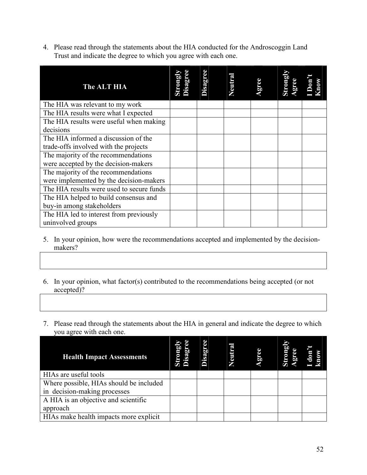4. Please read through the statements about the HIA conducted for the Androscoggin Land Trust and indicate the degree to which you agree with each one.

| <b>The ALT HIA</b>                        | trongl<br>isagr | Disagree | Veutra | gree | Strongl<br>gree | Don't<br>mow |
|-------------------------------------------|-----------------|----------|--------|------|-----------------|--------------|
| The HIA was relevant to my work           |                 |          |        |      |                 |              |
| The HIA results were what I expected      |                 |          |        |      |                 |              |
| The HIA results were useful when making   |                 |          |        |      |                 |              |
| decisions                                 |                 |          |        |      |                 |              |
| The HIA informed a discussion of the      |                 |          |        |      |                 |              |
| trade-offs involved with the projects     |                 |          |        |      |                 |              |
| The majority of the recommendations       |                 |          |        |      |                 |              |
| were accepted by the decision-makers      |                 |          |        |      |                 |              |
| The majority of the recommendations       |                 |          |        |      |                 |              |
| were implemented by the decision-makers   |                 |          |        |      |                 |              |
| The HIA results were used to secure funds |                 |          |        |      |                 |              |
| The HIA helped to build consensus and     |                 |          |        |      |                 |              |
| buy-in among stakeholders                 |                 |          |        |      |                 |              |
| The HIA led to interest from previously   |                 |          |        |      |                 |              |
| uninvolved groups                         |                 |          |        |      |                 |              |

- 5. In your opinion, how were the recommendations accepted and implemented by the decisionmakers?
- 6. In your opinion, what factor(s) contributed to the recommendations being accepted (or not accepted)?
- 7. Please read through the statements about the HIA in general and indicate the degree to which you agree with each one.

| <b>Health Impact Assessments</b>        | Strom,<br>Disag | Disagr | <b>Neutra</b> | ້ອັດ | <u>a</u> | don |
|-----------------------------------------|-----------------|--------|---------------|------|----------|-----|
| HIAs are useful tools                   |                 |        |               |      |          |     |
| Where possible, HIAs should be included |                 |        |               |      |          |     |
| in decision-making processes            |                 |        |               |      |          |     |
| A HIA is an objective and scientific    |                 |        |               |      |          |     |
| approach                                |                 |        |               |      |          |     |
| HIAs make health impacts more explicit  |                 |        |               |      |          |     |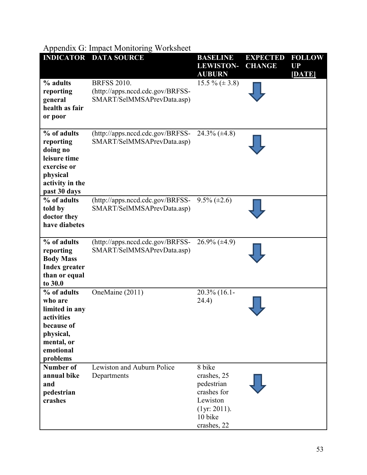# Appendix G: Impact Monitoring Worksheet

| <b>INDICATOR</b>                                                                                                         | <b>DATA SOURCE</b>                                                                   | <b>BASELINE</b><br><b>LEWISTON-</b><br><b>AUBURN</b>                                                     | <b>EXPECTED</b><br><b>CHANGE</b> | <b>FOLLOW</b><br><b>UP</b><br>[DATE] |
|--------------------------------------------------------------------------------------------------------------------------|--------------------------------------------------------------------------------------|----------------------------------------------------------------------------------------------------------|----------------------------------|--------------------------------------|
| % adults<br>reporting<br>general<br>health as fair<br>or poor                                                            | <b>BRFSS 2010.</b><br>(http://apps.nccd.cdc.gov/BRFSS-<br>SMART/SelMMSAPrevData.asp) | 15.5 % $(\pm 3.8)$                                                                                       |                                  |                                      |
| % of adults<br>reporting<br>doing no<br>leisure time<br>exercise or<br>physical<br>activity in the<br>past 30 days       | $(http://apps.nced.cdc.gov/BRFSS-$<br>SMART/SelMMSAPrevData.asp)                     | $24.3\%$ ( $\pm 4.8$ )                                                                                   |                                  |                                      |
| % of adults<br>told by<br>doctor they<br>have diabetes                                                                   | (http://apps.nccd.cdc.gov/BRFSS-<br>SMART/SelMMSAPrevData.asp)                       | $9.5\% (\pm 2.6)$                                                                                        |                                  |                                      |
| % of adults<br>reporting<br><b>Body Mass</b><br><b>Index greater</b><br>than or equal<br>to 30.0                         | (http://apps.nccd.cdc.gov/BRFSS-<br>SMART/SelMMSAPrevData.asp)                       | $26.9\% (\pm 4.9)$                                                                                       |                                  |                                      |
| % of adults<br>who are<br>limited in any<br>activities<br>because of<br>physical,<br>mental, or<br>emotional<br>problems | OneMaine (2011)                                                                      | 20.3% (16.1-<br>24.4)                                                                                    |                                  |                                      |
| <b>Number of</b><br>annual bike<br>and<br>pedestrian<br>crashes                                                          | Lewiston and Auburn Police<br>Departments                                            | 8 bike<br>crashes, 25<br>pedestrian<br>crashes for<br>Lewiston<br>(1yr: 2011).<br>10 bike<br>crashes, 22 |                                  |                                      |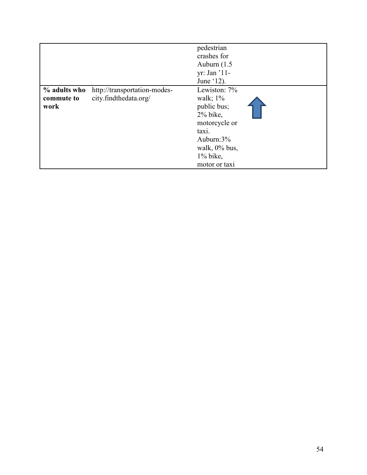|                                    |                                                       | pedestrian<br>crashes for<br>Auburn $(1.5)$<br>yr: Jan '11-<br>June '12).                                                                            |  |
|------------------------------------|-------------------------------------------------------|------------------------------------------------------------------------------------------------------------------------------------------------------|--|
| % adults who<br>commute to<br>work | http://transportation-modes-<br>city.findthedata.org/ | Lewiston: 7%<br>walk; $1\%$<br>public bus;<br>$2\%$ bike,<br>motorcycle or<br>taxi.<br>Auburn:3%<br>walk, $0\%$ bus,<br>$1\%$ bike,<br>motor or taxi |  |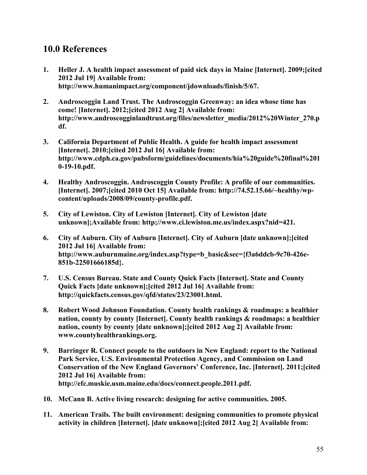# **10.0 References**

- **1. Heller J. A health impact assessment of paid sick days in Maine [Internet]. 2009;[cited 2012 Jul 19] Available from: http://www.humanimpact.org/component/jdownloads/finish/5/67.**
- **2. Androscoggin Land Trust. The Androscoggin Greenway: an idea whose time has come! [Internet]. 2012;[cited 2012 Aug 2] Available from: http://www.androscogginlandtrust.org/files/newsletter\_media/2012%20Winter\_270.p df.**
- **3. California Department of Public Health. A guide for health impact assessment [Internet]. 2010;[cited 2012 Jul 16] Available from: http://www.cdph.ca.gov/pubsform/guidelines/documents/hia%20guide%20final%201 0-19-10.pdf.**
- **4. Healthy Androscoggin. Androscoggin County Profile: A profile of our communities. [Internet]. 2007;[cited 2010 Oct 15] Available from: http://74.52.15.66/~healthy/wpcontent/uploads/2008/09/county-profile.pdf.**
- **5. City of Lewiston. City of Lewiston [Internet]. City of Lewiston [date unknown];Available from: http;//www.ci.lewiston.me.us/index.aspx?nid=421.**
- **6. City of Auburn. City of Auburn [Internet]. City of Auburn [date unknown];[cited 2012 Jul 16] Available from: http://www.auburnmaine.org/index.asp?type=b\_basic&sec={f3a6ddcb-9c70-426e-851b-22501666185d}.**
- **7. U.S. Census Bureau. State and County Quick Facts [Internet]. State and County Quick Facts [date unknown];[cited 2012 Jul 16] Available from: http://quickfacts.census.gov/qfd/states/23/23001.html.**
- **8. Robert Wood Johnson Foundation. County health rankings & roadmaps: a healthier nation, county by county [Internet]. County health rankings & roadmaps: a healthier nation, county by county [date unknown];[cited 2012 Aug 2] Available from: www.countyhealthrankings.org.**
- **9. Barringer R. Connect people to the outdoors in New England: report to the National Park Service, U.S. Environmental Protection Agency, and Commission on Land Conservation of the New England Governors' Conference, Inc. [Internet]. 2011;[cited 2012 Jul 16] Available from: http://efc.muskie.usm.maine.edu/docs/connect.people.2011.pdf.**
- **10. McCann B. Active living research: designing for active communities. 2005.**
- **11. American Trails. The built environment: designing communities to promote physical activity in children [Internet]. [date unknown];[cited 2012 Aug 2] Available from:**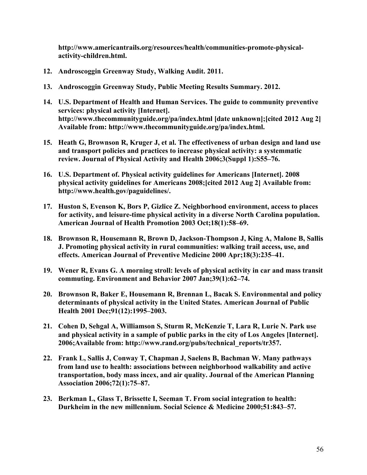**http://www.americantrails.org/resources/health/communities-promote-physicalactivity-children.html.** 

- **12. Androscoggin Greenway Study, Walking Audit. 2011.**
- **13. Androscoggin Greenway Study, Public Meeting Results Summary. 2012.**
- **14. U.S. Department of Health and Human Services. The guide to community preventive services: physical activity [Internet]. http://www.thecommunityguide.org/pa/index.html [date unknown];[cited 2012 Aug 2] Available from: http://www.thecommunityguide.org/pa/index.html.**
- **15. Heath G, Brownson R, Kruger J, et al. The effectiveness of urban design and land use and transport policies and practices to increase physical activity: a systemmatic review. Journal of Physical Activity and Health 2006;3(Suppl 1):S55–76.**
- **16. U.S. Department of. Physical activity guidelines for Americans [Internet]. 2008 physical activity guidelines for Americans 2008;[cited 2012 Aug 2] Available from: http://www.health.gov/paguidelines/.**
- **17. Huston S, Evenson K, Bors P, Gizlice Z. Neighborhood environment, access to places for activity, and leisure-time physical activity in a diverse North Carolina population. American Journal of Health Promotion 2003 Oct;18(1):58–69.**
- **18. Brownson R, Housemann R, Brown D, Jackson-Thompson J, King A, Malone B, Sallis J. Promoting physical activity in rural communities: walking trail access, use, and effects. American Journal of Preventive Medicine 2000 Apr;18(3):235–41.**
- **19. Wener R, Evans G. A morning stroll: levels of physical activity in car and mass transit commuting. Environment and Behavior 2007 Jan;39(1):62–74.**
- **20. Brownson R, Baker E, Housemann R, Brennan L, Bacak S. Environmental and policy determinants of physical activity in the United States. American Journal of Public Health 2001 Dec;91(12):1995–2003.**
- **21. Cohen D, Sehgal A, Williamson S, Sturm R, McKenzie T, Lara R, Lurie N. Park use and physical activity in a sample of public parks in the city of Los Angeles [Internet]. 2006;Available from: http://www.rand.org/pubs/technical\_reports/tr357.**
- **22. Frank L, Sallis J, Conway T, Chapman J, Saelens B, Bachman W. Many pathways from land use to health: associations between neighborhood walkability and active transportation, body mass incex, and air quality. Journal of the American Planning Association 2006;72(1):75–87.**
- **23. Berkman L, Glass T, Brissette I, Seeman T. From social integration to health: Durkheim in the new millennium. Social Science & Medicine 2000;51:843–57.**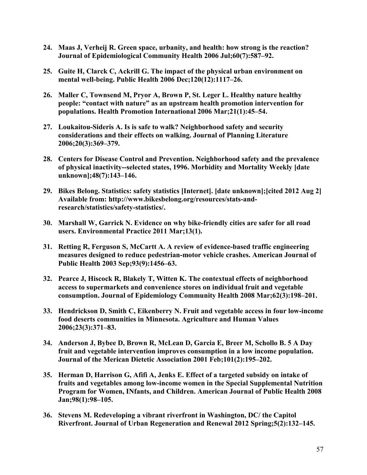- **24. Maas J, Verheij R. Green space, urbanity, and health: how strong is the reaction? Journal of Epidemiological Community Health 2006 Jul;60(7):587–92.**
- **25. Guite H, Clarck C, Ackrill G. The impact of the physical urban environment on mental well-being. Public Health 2006 Dec;120(12):1117–26.**
- **26. Maller C, Townsend M, Pryor A, Brown P, St. Leger L. Healthy nature healthy people: "contact with nature" as an upstream health promotion intervention for populations. Health Promotion International 2006 Mar;21(1):45–54.**
- **27. Loukaitou-Sideris A. Is is safe to walk? Neighborhood safety and security considerations and their effects on walking. Journal of Planning Literature 2006;20(3):369–379.**
- **28. Centers for Disease Control and Prevention. Neighborhood safety and the prevalence of physical inactivity--selected states, 1996. Morbidity and Mortality Weekly [date unknown];48(7):143–146.**
- **29. Bikes Belong. Statistics: safety statistics [Internet]. [date unknown];[cited 2012 Aug 2] Available from: http://www.bikesbelong.org/resources/stats-andresearch/statistics/safety-statistics/.**
- **30. Marshall W, Garrick N. Evidence on why bike-friendly cities are safer for all road users. Environmental Practice 2011 Mar;13(1).**
- **31. Retting R, Ferguson S, McCartt A. A review of evidence-based traffic engineering measures designed to reduce pedestrian-motor vehicle crashes. American Journal of Public Health 2003 Sep;93(9):1456–63.**
- **32. Pearce J, Hiscock R, Blakely T, Witten K. The contextual effects of neighborhood access to supermarkets and convenience stores on individual fruit and vegetable consumption. Journal of Epidemiology Community Health 2008 Mar;62(3):198–201.**
- **33. Hendrickson D, Smith C, Eikenberry N. Fruit and vegetable access in four low-income food deserts communities in Minnesota. Agriculture and Human Values 2006;23(3):371–83.**
- **34. Anderson J, Bybee D, Brown R, McLean D, Garcia E, Breer M, Schollo B. 5 A Day fruit and vegetable intervention improves consumption in a low income population. Journal of the Merican Dietetic Association 2001 Feb;101(2):195–202.**
- **35. Herman D, Harrison G, Afifi A, Jenks E. Effect of a targeted subsidy on intake of fruits and vegetables among low-income women in the Special Supplemental Nutrition Program for Women, INfants, and Children. American Journal of Public Health 2008 Jan;98(1):98–105.**
- **36. Stevens M. Redeveloping a vibrant riverfront in Washington, DC/ the Capitol Riverfront. Journal of Urban Regeneration and Renewal 2012 Spring;5(2):132–145.**